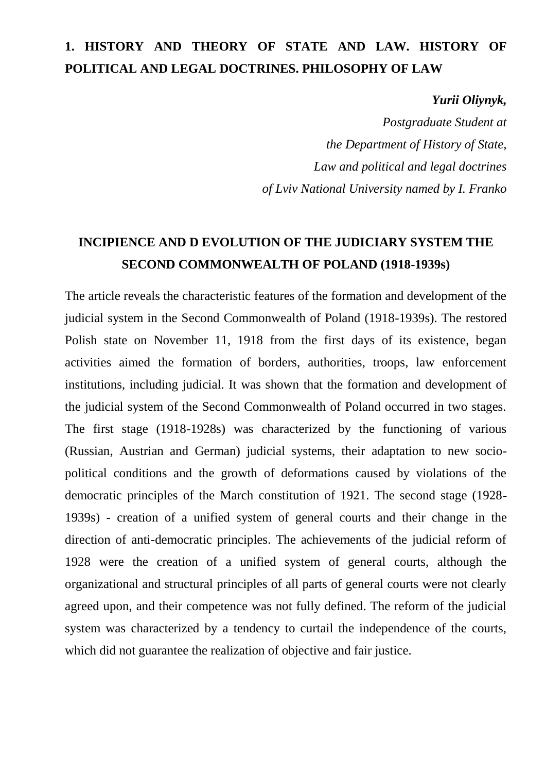## **1. HISTORY AND THEORY OF STATE AND LAW. HISTORY OF POLITICAL AND LEGAL DOCTRINES. PHILOSOPHY OF LAW**

*Yurii Oliynyk,*

*Postgraduate Student at the Department of History of State, Law and political and legal doctrines of Lviv National University named by I. Franko*

## **INCIPIENCE AND D EVOLUTION OF THE JUDICIARY SYSTEM THE SECOND COMMONWEALTH OF POLAND (1918-1939s)**

The article reveals the characteristic features of the formation and development of the judicial system in the Second Commonwealth of Poland (1918-1939s). The restored Polish state on November 11, 1918 from the first days of its existence, began activities aimed the formation of borders, authorities, troops, law enforcement institutions, including judicial. It was shown that the formation and development of the judicial system of the Second Commonwealth of Poland occurred in two stages. The first stage (1918-1928s) was characterized by the functioning of various (Russian, Austrian and German) judicial systems, their adaptation to new sociopolitical conditions and the growth of deformations caused by violations of the democratic principles of the March constitution of 1921. The second stage (1928- 1939s) - creation of a unified system of general courts and their change in the direction of anti-democratic principles. The achievements of the judicial reform of 1928 were the creation of a unified system of general courts, although the organizational and structural principles of all parts of general courts were not clearly agreed upon, and their competence was not fully defined. The reform of the judicial system was characterized by a tendency to curtail the independence of the courts, which did not guarantee the realization of objective and fair justice.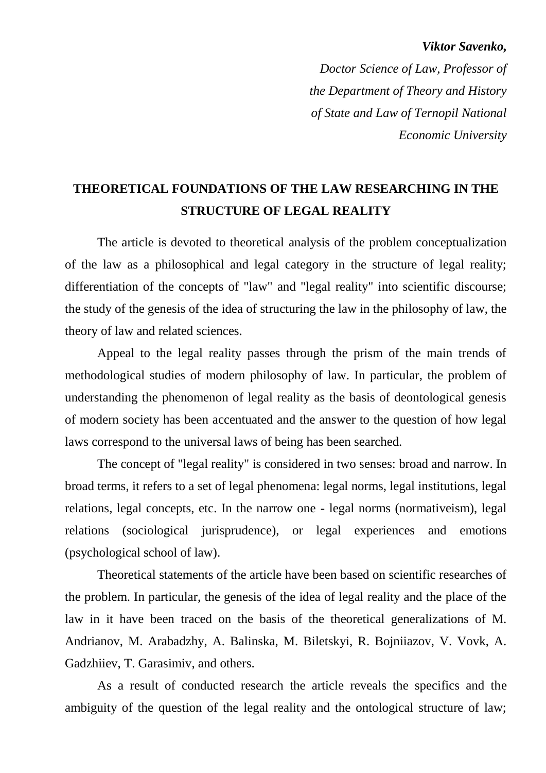#### *Viktor Savenko,*

*Doctor Science of Law, Professor of the Department of Theory and History of State and Law of Ternopil National Economic University*

### **THEORETICAL FOUNDATIONS OF THE LAW RESEARCHING IN THE STRUCTURE OF LEGAL REALITY**

The article is devoted to theoretical analysis of the problem conceptualization of the law as a philosophical and legal category in the structure of legal reality; differentiation of the concepts of "law" and "legal reality" into scientific discourse; the study of the genesis of the idea of structuring the law in the philosophy of law, the theory of law and related sciences.

Appeal to the legal reality passes through the prism of the main trends of methodological studies of modern philosophy of law. In particular, the problem of understanding the phenomenon of legal reality as the basis of deontological genesis of modern society has been accentuated and the answer to the question of how legal laws correspond to the universal laws of being has been searched.

The concept of "legal reality" is considered in two senses: broad and narrow. In broad terms, it refers to a set of legal phenomena: legal norms, legal institutions, legal relations, legal concepts, etc. In the narrow one - legal norms (normativeism), legal relations (sociological jurisprudence), or legal experiences and emotions (psychological school of law).

Theoretical statements of the article have been based on scientific researches of the problem. In particular, the genesis of the idea of legal reality and the place of the law in it have been traced on the basis of the theoretical generalizations of M. Andrianov, M. Arabadzhy, A. Balinska, M. Biletskyi, R. Bojniiazov, V. Vovk, A. Gadzhiiev, T. Garasimiv, and others.

As a result of conducted research the article reveals the specifics and the ambiguity of the question of the legal reality and the ontological structure of law;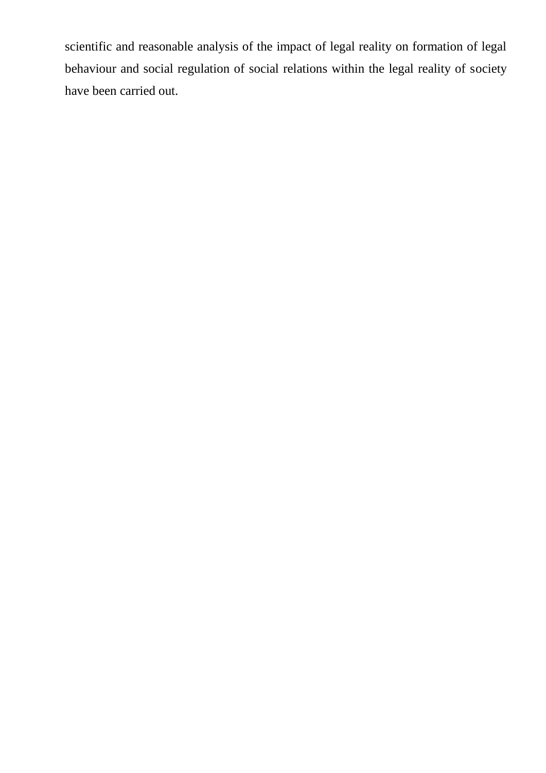scientific and reasonable analysis of the impact of legal reality on formation of legal behaviour and social regulation of social relations within the legal reality of society have been carried out.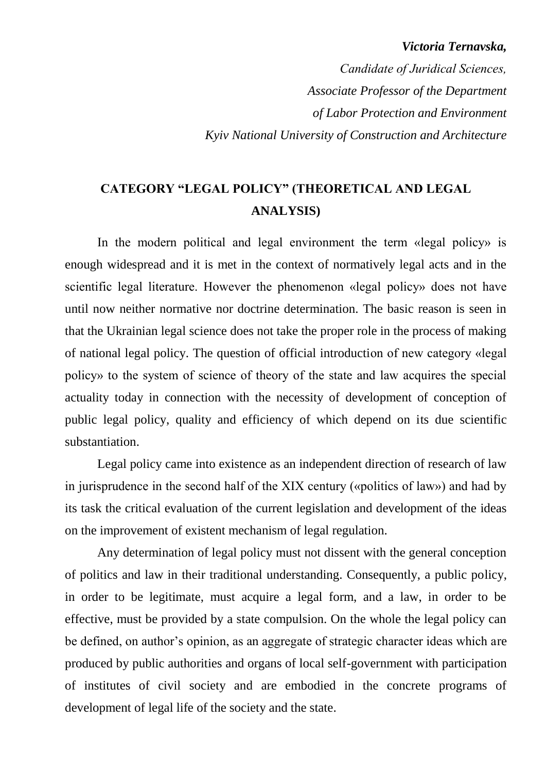#### *Victoria Ternavska,*

*Сandidate of Juridical Sciences, Associate Professor of the Department of Labor Protection and Environment Kyiv National University of Construction and Architecture*

### **CATEGORY "LEGAL POLICY" (THEORETICAL AND LEGAL ANALYSIS)**

In the modern political and legal environment the term «legal policy» is enough widespread and it is met in the context of normatively legal acts and in the scientific legal literature. However the phenomenon «legal policy» does not have until now neither normative nor doctrine determination. The basic reason is seen in that the Ukrainian legal science does not take the proper role in the process of making of national legal policy. The question of official introduction of new category «legal policy» to the system of science of theory of the state and law acquires the special actuality today in connection with the necessity of development of conception of public legal policy, quality and efficiency of which depend on its due scientific substantiation.

Legal policy came into existence as an independent direction of research of law in jurisprudence in the second half of the ХІХ century («politics of law») and had by its task the critical evaluation of the current legislation and development of the ideas on the improvement of existent mechanism of legal regulation.

Any determination of legal policy must not dissent with the general conception of politics and law in their traditional understanding. Consequently, a public policy, in order to be legitimate, must acquire a legal form, and a law, in order to be effective, must be provided by a state compulsion. On the whole the legal policy can be defined, on author's opinion, as an aggregate of strategic character ideas which are produced by public authorities and organs of local self-government with participation of institutes of civil society and are embodied in the concrete programs of development of legal life of the society and the state.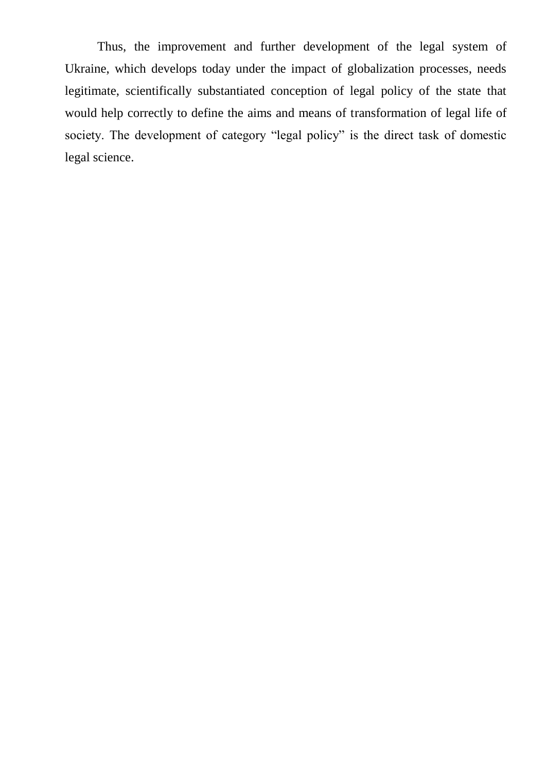Thus, the improvement and further development of the legal system of Ukraine, which develops today under the impact of globalization processes, needs legitimate, scientifically substantiated conception of legal policy of the state that would help correctly to define the aims and means of transformation of legal life of society. The development of category "legal policy" is the direct task of domestic legal science.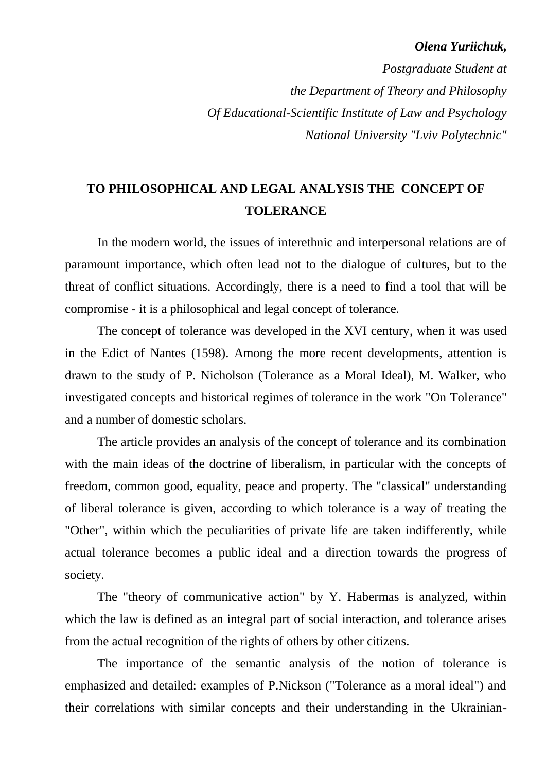#### *Olena Yuriichuk,*

*Postgraduate Student at the Department of Theory and Philosophy Of Educational-Scientific Institute of Law and Psychology National University "Lviv Polytechnic"*

### **TO PHILOSOPHICAL AND LEGAL ANALYSIS THE CONCEPT OF TOLERANCE**

In the modern world, the issues of interethnic and interpersonal relations are of paramount importance, which often lead not to the dialogue of cultures, but to the threat of conflict situations. Accordingly, there is a need to find a tool that will be compromise - it is a philosophical and legal concept of tolerance.

The concept of tolerance was developed in the XVI century, when it was used in the Edict of Nantes (1598). Among the more recent developments, attention is drawn to the study of P. Nicholson (Tolerance as a Moral Ideal), M. Walker, who investigated concepts and historical regimes of tolerance in the work "On Tolerance" and a number of domestic scholars.

The article provides an analysis of the concept of tolerance and its combination with the main ideas of the doctrine of liberalism, in particular with the concepts of freedom, common good, equality, peace and property. The "classical" understanding of liberal tolerance is given, according to which tolerance is a way of treating the "Other", within which the peculiarities of private life are taken indifferently, while actual tolerance becomes a public ideal and a direction towards the progress of society.

The "theory of communicative action" by Y. Habermas is analyzed, within which the law is defined as an integral part of social interaction, and tolerance arises from the actual recognition of the rights of others by other citizens.

The importance of the semantic analysis of the notion of tolerance is emphasized and detailed: examples of P.Nickson ("Tolerance as a moral ideal") and their correlations with similar concepts and their understanding in the Ukrainian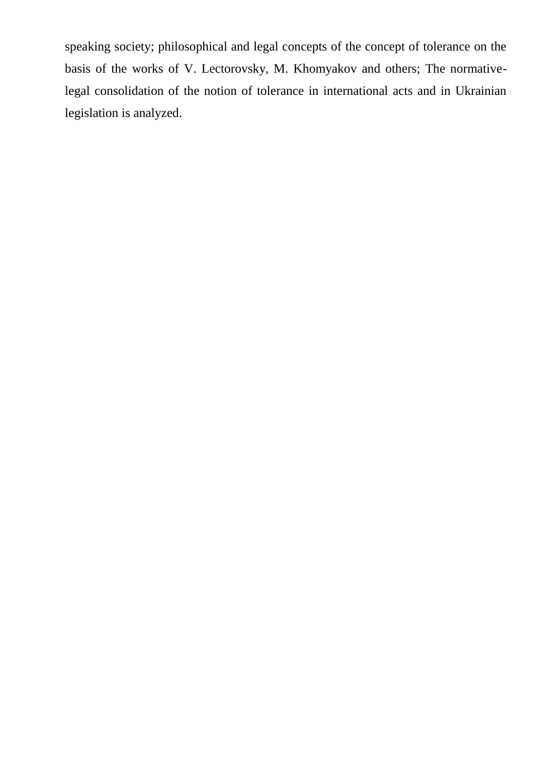speaking society; philosophical and legal concepts of the concept of tolerance on the basis of the works of V. Lectorovsky, M. Khomyakov and others; The normativelegal consolidation of the notion of tolerance in international acts and in Ukrainian legislation is analyzed.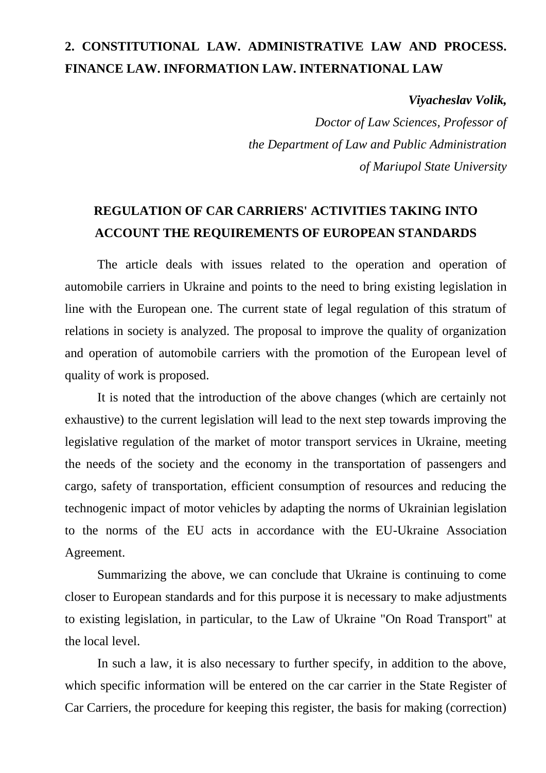### **2. CONSTITUTIONAL LAW. ADMINISTRATIVE LAW AND PROCESS. FINANCE LAW. INFORMATION LAW. INTERNATIONAL LAW**

*Viyacheslav Volik,* 

*Doctor of Law Sciences, Professor of the Department of Law and Public Administration of Mariupol State University*

### **REGULATION OF CAR CARRIERS' ACTIVITIES TAKING INTO ACCOUNT THE REQUIREMENTS OF EUROPEAN STANDARDS**

The article deals with issues related to the operation and operation of automobile carriers in Ukraine and points to the need to bring existing legislation in line with the European one. The current state of legal regulation of this stratum of relations in society is analyzed. The proposal to improve the quality of organization and operation of automobile carriers with the promotion of the European level of quality of work is proposed.

It is noted that the introduction of the above changes (which are certainly not exhaustive) to the current legislation will lead to the next step towards improving the legislative regulation of the market of motor transport services in Ukraine, meeting the needs of the society and the economy in the transportation of passengers and cargo, safety of transportation, efficient consumption of resources and reducing the technogenic impact of motor vehicles by adapting the norms of Ukrainian legislation to the norms of the EU acts in accordance with the EU-Ukraine Association Agreement.

Summarizing the above, we can conclude that Ukraine is continuing to come closer to European standards and for this purpose it is necessary to make adjustments to existing legislation, in particular, to the Law of Ukraine "On Road Transport" at the local level.

In such a law, it is also necessary to further specify, in addition to the above, which specific information will be entered on the car carrier in the State Register of Car Carriers, the procedure for keeping this register, the basis for making (correction)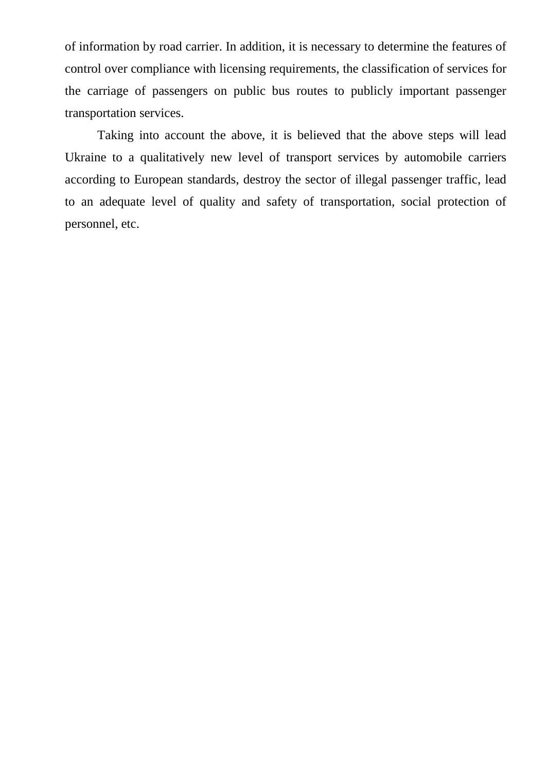of information by road carrier. In addition, it is necessary to determine the features of control over compliance with licensing requirements, the classification of services for the carriage of passengers on public bus routes to publicly important passenger transportation services.

Taking into account the above, it is believed that the above steps will lead Ukraine to a qualitatively new level of transport services by automobile carriers according to European standards, destroy the sector of illegal passenger traffic, lead to an adequate level of quality and safety of transportation, social protection of personnel, etc.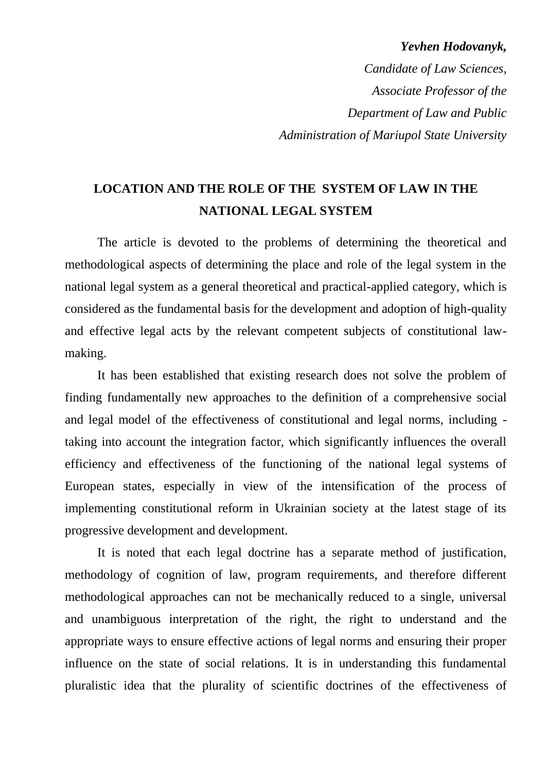### *Yevhen Hodovanyk,*

*Candidate of Law Sciences, Associate Professor of the Department of Law and Public Administration of Mariupol State University*

### **LOCATION AND THE ROLE OF THE SYSTEM OF LAW IN THE NATIONAL LEGAL SYSTEM**

The article is devoted to the problems of determining the theoretical and methodological aspects of determining the place and role of the legal system in the national legal system as a general theoretical and practical-applied category, which is considered as the fundamental basis for the development and adoption of high-quality and effective legal acts by the relevant competent subjects of constitutional lawmaking.

It has been established that existing research does not solve the problem of finding fundamentally new approaches to the definition of a comprehensive social and legal model of the effectiveness of constitutional and legal norms, including taking into account the integration factor, which significantly influences the overall efficiency and effectiveness of the functioning of the national legal systems of European states, especially in view of the intensification of the process of implementing constitutional reform in Ukrainian society at the latest stage of its progressive development and development.

It is noted that each legal doctrine has a separate method of justification, methodology of cognition of law, program requirements, and therefore different methodological approaches can not be mechanically reduced to a single, universal and unambiguous interpretation of the right, the right to understand and the appropriate ways to ensure effective actions of legal norms and ensuring their proper influence on the state of social relations. It is in understanding this fundamental pluralistic idea that the plurality of scientific doctrines of the effectiveness of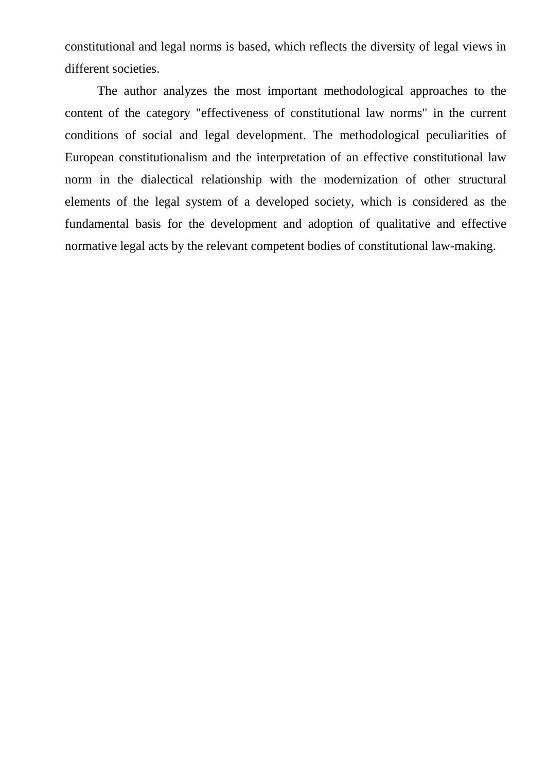constitutional and legal norms is based, which reflects the diversity of legal views in different societies.

The author analyzes the most important methodological approaches to the content of the category "effectiveness of constitutional law norms" in the current conditions of social and legal development. The methodological peculiarities of European constitutionalism and the interpretation of an effective constitutional law norm in the dialectical relationship with the modernization of other structural elements of the legal system of a developed society, which is considered as the fundamental basis for the development and adoption of qualitative and effective normative legal acts by the relevant competent bodies of constitutional law-making.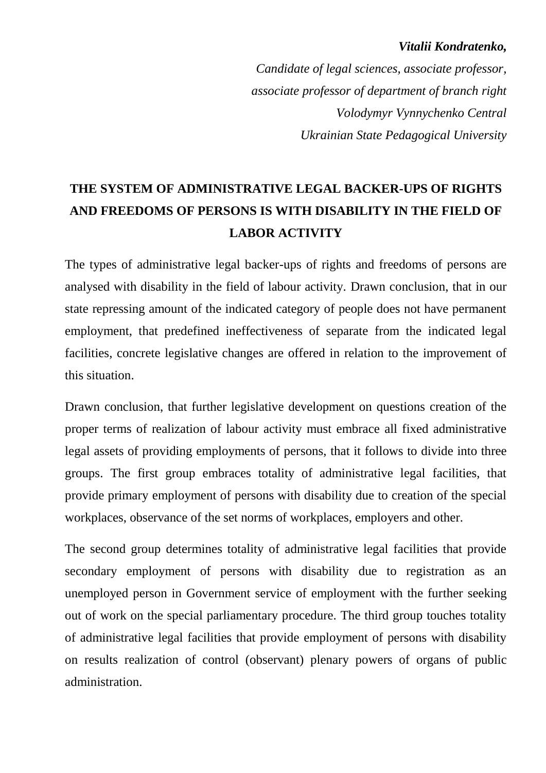### *Vitalii Kondratenko,*

*Candidate of legal sciences, associate professor, associate professor of department of branch right Volodymyr Vynnychenko Central Ukrainian State Pedagogical University*

# **THE SYSTEM OF ADMINISTRATIVE LEGAL BACKER-UPS OF RIGHTS AND FREEDOMS OF PERSONS IS WITH DISABILITY IN THE FIELD OF LABOR ACTIVITY**

The types of administrative legal backer-ups of rights and freedoms of persons are analysed with disability in the field of labour activity. Drawn conclusion, that in our state repressing amount of the indicated category of people does not have permanent employment, that predefined ineffectiveness of separate from the indicated legal facilities, concrete legislative changes are offered in relation to the improvement of this situation.

Drawn conclusion, that further legislative development on questions creation of the proper terms of realization of labour activity must embrace all fixed administrative legal assets of providing employments of persons, that it follows to divide into three groups. The first group embraces totality of administrative legal facilities, that provide primary employment of persons with disability due to creation of the special workplaces, observance of the set norms of workplaces, employers and other.

The second group determines totality of administrative legal facilities that provide secondary employment of persons with disability due to registration as an unemployed person in Government service of employment with the further seeking out of work on the special parliamentary procedure. The third group touches totality of administrative legal facilities that provide employment of persons with disability on results realization of control (observant) plenary powers of organs of public administration.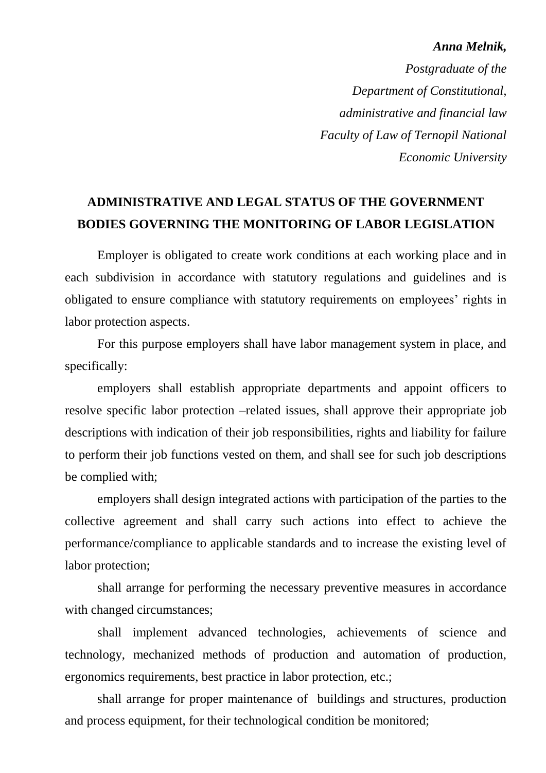#### *Anna Melnik,*

 *Postgraduate of the Department of Constitutional, administrative and financial law Faculty of Law of Ternopil National Economic University*

### **ADMINISTRATIVE AND LEGAL STATUS OF THE GOVERNMENT BODIES GOVERNING THE MONITORING OF LABOR LEGISLATION**

Employer is obligated to create work conditions at each working place and in each subdivision in accordance with statutory regulations and guidelines and is obligated to ensure compliance with statutory requirements on employees' rights in labor protection aspects.

 For this purpose employers shall have labor management system in place, and specifically:

employers shall establish appropriate departments and appoint officers to resolve specific labor protection –related issues, shall approve their appropriate job descriptions with indication of their job responsibilities, rights and liability for failure to perform their job functions vested on them, and shall see for such job descriptions be complied with;

employers shall design integrated actions with participation of the parties to the collective agreement and shall carry such actions into effect to achieve the performance/compliance to applicable standards and to increase the existing level of labor protection;

shall arrange for performing the necessary preventive measures in accordance with changed circumstances;

shall implement advanced technologies, achievements of science and technology, mechanized methods of production and automation of production, ergonomics requirements, best practice in labor protection, etc.;

shall arrange for proper maintenance of buildings and structures, production and process equipment, for their technological condition be monitored;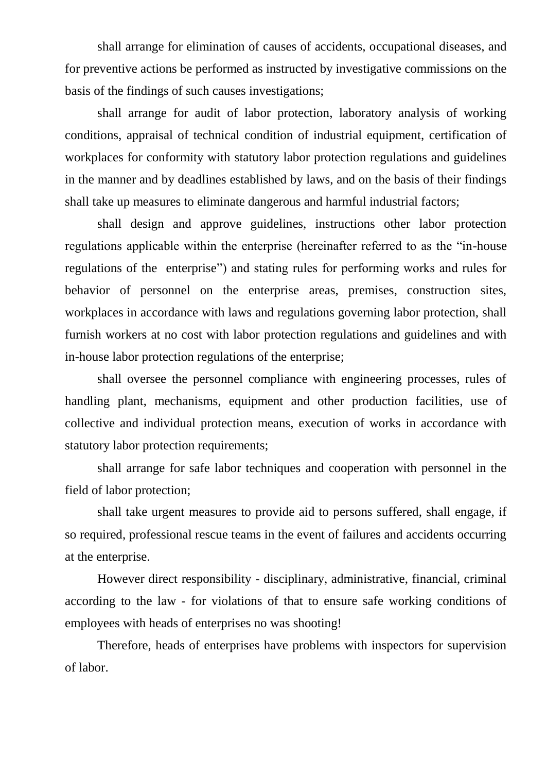shall arrange for elimination of causes of accidents, occupational diseases, and for preventive actions be performed as instructed by investigative commissions on the basis of the findings of such causes investigations;

shall arrange for audit of labor protection, laboratory analysis of working conditions, appraisal of technical condition of industrial equipment, certification of workplaces for conformity with statutory labor protection regulations and guidelines in the manner and by deadlines established by laws, and on the basis of their findings shall take up measures to eliminate dangerous and harmful industrial factors;

shall design and approve guidelines, instructions other labor protection regulations applicable within the enterprise (hereinafter referred to as the "in-house regulations of the enterprise") and stating rules for performing works and rules for behavior of personnel on the enterprise areas, premises, construction sites, workplaces in accordance with laws and regulations governing labor protection, shall furnish workers at no cost with labor protection regulations and guidelines and with in-house labor protection regulations of the enterprise;

shall oversee the personnel compliance with engineering processes, rules of handling plant, mechanisms, equipment and other production facilities, use of collective and individual protection means, execution of works in accordance with statutory labor protection requirements;

shall arrange for safe labor techniques and cooperation with personnel in the field of labor protection;

shall take urgent measures to provide aid to persons suffered, shall engage, if so required, professional rescue teams in the event of failures and accidents occurring at the enterprise.

However direct responsibility - disciplinary, administrative, financial, criminal according to the law - for violations of that to ensure safe working conditions of employees with heads of enterprises no was shooting!

 Therefore, heads of enterprises have problems with inspectors for supervision of labor.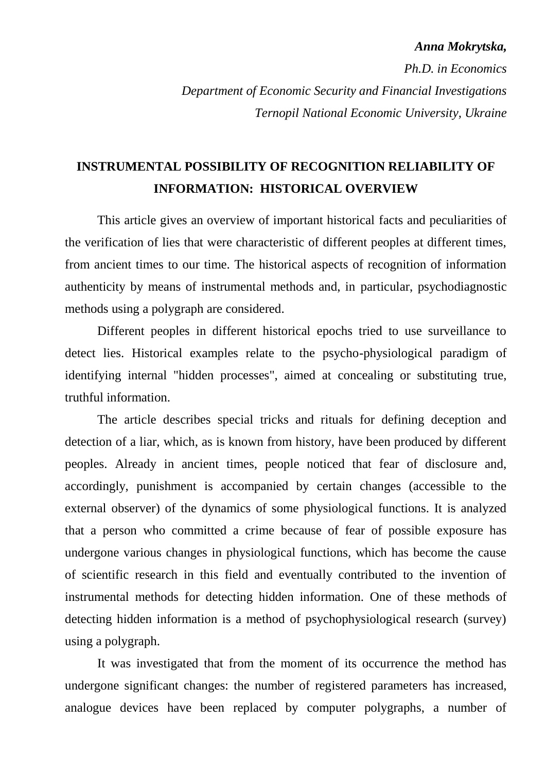#### *Anna Mokrytska,*

*Ph.D. in Economics Department of Economic Security and Financial Investigations Ternopil National Economic University, Ukraine*

### **INSTRUMENTAL POSSIBILITY OF RECOGNITION RELIABILITY OF INFORMATION: HISTORICAL OVERVIEW**

This article gives an overview of important historical facts and peculiarities of the verification of lies that were characteristic of different peoples at different times, from ancient times to our time. The historical aspects of recognition of information authenticity by means of instrumental methods and, in particular, psychodiagnostic methods using a polygraph are considered.

Different peoples in different historical epochs tried to use surveillance to detect lies. Historical examples relate to the psycho-physiological paradigm of identifying internal "hidden processes", aimed at concealing or substituting true, truthful information.

The article describes special tricks and rituals for defining deception and detection of a liar, which, as is known from history, have been produced by different peoples. Already in ancient times, people noticed that fear of disclosure and, accordingly, punishment is accompanied by certain changes (accessible to the external observer) of the dynamics of some physiological functions. It is analyzed that a person who committed a crime because of fear of possible exposure has undergone various changes in physiological functions, which has become the cause of scientific research in this field and eventually contributed to the invention of instrumental methods for detecting hidden information. One of these methods of detecting hidden information is a method of psychophysiological research (survey) using a polygraph.

It was investigated that from the moment of its occurrence the method has undergone significant changes: the number of registered parameters has increased, analogue devices have been replaced by computer polygraphs, a number of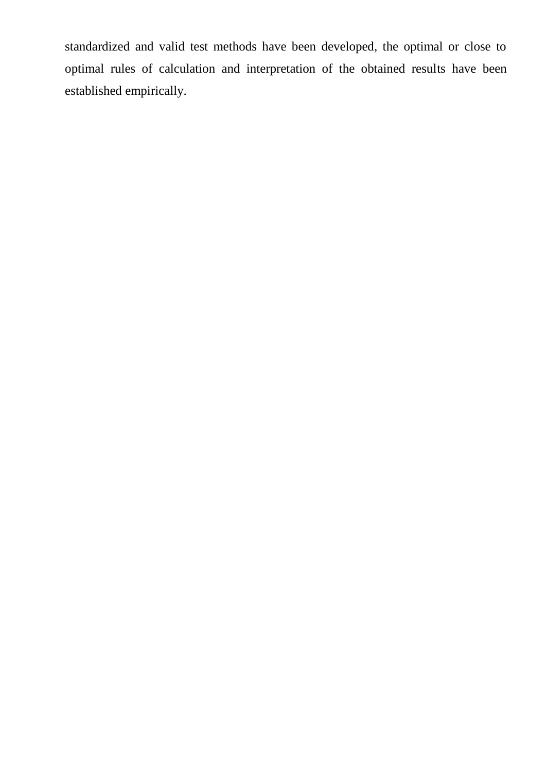standardized and valid test methods have been developed, the optimal or close to optimal rules of calculation and interpretation of the obtained results have been established empirically.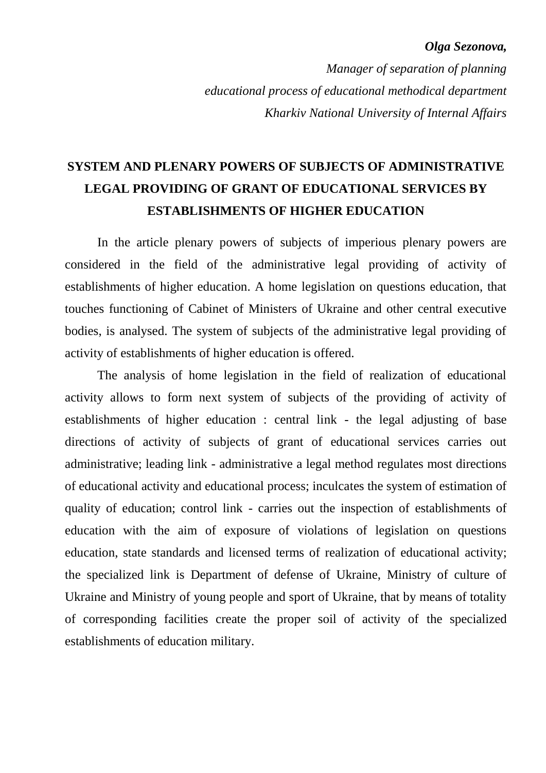#### *Olga Sezonova,*

*Manager of separation of planning educational process of educational methodical department Kharkiv National University of Internal Affairs*

# **SYSTEM AND PLENARY POWERS OF SUBJECTS OF ADMINISTRATIVE LEGAL PROVIDING OF GRANT OF EDUCATIONAL SERVICES BY ESTABLISHMENTS OF HIGHER EDUCATION**

In the article plenary powers of subjects of imperious plenary powers are considered in the field of the administrative legal providing of activity of establishments of higher education. A home legislation on questions education, that touches functioning of Cabinet of Ministers of Ukraine and other central executive bodies, is analysed. The system of subjects of the administrative legal providing of activity of establishments of higher education is offered.

The analysis of home legislation in the field of realization of educational activity allows to form next system of subjects of the providing of activity of establishments of higher education : central link - the legal adjusting of base directions of activity of subjects of grant of educational services carries out administrative; leading link - administrative a legal method regulates most directions of educational activity and educational process; inculcates the system of estimation of quality of education; control link - carries out the inspection of establishments of education with the aim of exposure of violations of legislation on questions education, state standards and licensed terms of realization of educational activity; the specialized link is Department of defense of Ukraine, Ministry of culture of Ukraine and Ministry of young people and sport of Ukraine, that by means of totality of corresponding facilities create the proper soil of activity of the specialized establishments of education military.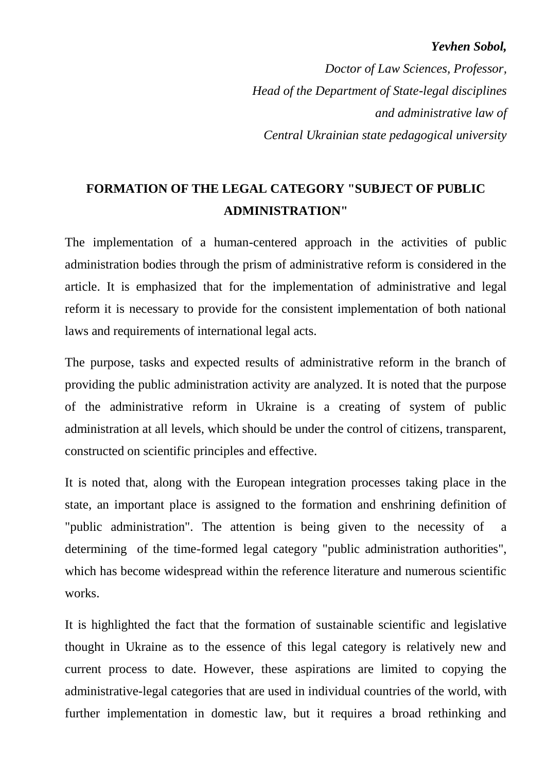### *Yevhen Sobol,*

*Doctor of Law Sciences, Professor, Head of the Department of State-legal disciplines and administrative law of Central Ukrainian state pedagogical university*

### **FORMATION OF THE LEGAL CATEGORY "SUBJECT OF PUBLIC ADMINISTRATION"**

The implementation of a human-centered approach in the activities of public administration bodies through the prism of administrative reform is considered in the article. It is emphasized that for the implementation of administrative and legal reform it is necessary to provide for the consistent implementation of both national laws and requirements of international legal acts.

The purpose, tasks and expected results of administrative reform in the branch of providing the public administration activity are analyzed. It is noted that the purpose of the administrative reform in Ukraine is a creating of system of public administration at all levels, which should be under the control of citizens, transparent, constructed on scientific principles and effective.

It is noted that, along with the European integration processes taking place in the state, an important place is assigned to the formation and enshrining definition of "public administration". The attention is being given to the necessity of a determining of the time-formed legal category "public administration authorities", which has become widespread within the reference literature and numerous scientific works.

It is highlighted the fact that the formation of sustainable scientific and legislative thought in Ukraine as to the essence of this legal category is relatively new and current process to date. However, these aspirations are limited to copying the administrative-legal categories that are used in individual countries of the world, with further implementation in domestic law, but it requires a broad rethinking and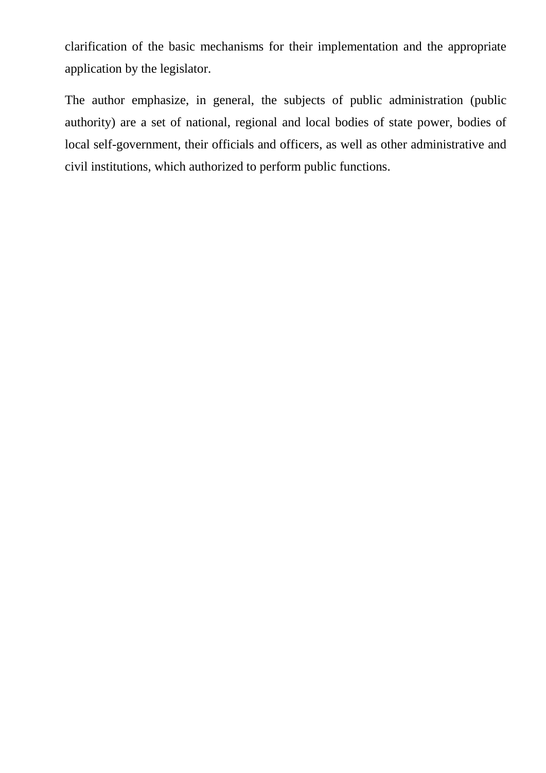clarification of the basic mechanisms for their implementation and the appropriate application by the legislator.

The author emphasize, in general, the subjects of public administration (public authority) are a set of national, regional and local bodies of state power, bodies of local self-government, their officials and officers, as well as other administrative and civil institutions, which authorized to perform public functions.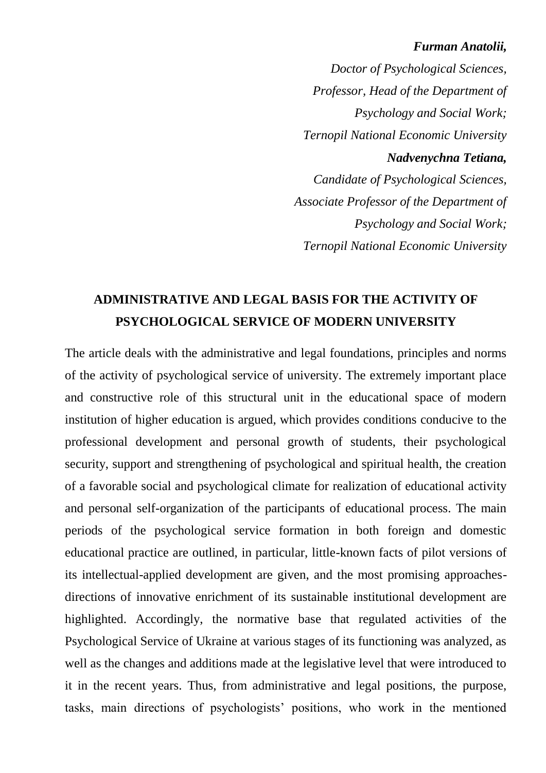#### *Furman Anatolii,*

*Doctor of Psychological Sciences, Professor, Head of the Department of Psychology and Social Work; Ternopil National Economic University Nadvenychna Tetiana, Candidate of Psychological Sciences, Associate Professor of the Department of Psychology and Social Work; Ternopil National Economic University*

### **ADMINISTRATIVE AND LEGAL BASIS FOR THE ACTIVITY OF PSYCHOLOGICAL SERVICE OF MODERN UNIVERSITY**

The article deals with the administrative and legal foundations, principles and norms of the activity of psychological service of university. The extremely important place and constructive role of this structural unit in the educational space of modern institution of higher education is argued, which provides conditions conducive to the professional development and personal growth of students, their psychological security, support and strengthening of psychological and spiritual health, the creation of a favorable social and psychological climate for realization of educational activity and personal self-organization of the participants of educational process. The main periods of the psychological service formation in both foreign and domestic educational practice are outlined, in particular, little-known facts of pilot versions of its intellectual-applied development are given, and the most promising approachesdirections of innovative enrichment of its sustainable institutional development are highlighted. Accordingly, the normative base that regulated activities of the Psychological Service of Ukraine at various stages of its functioning was analyzed, as well as the changes and additions made at the legislative level that were introduced to it in the recent years. Thus, from administrative and legal positions, the purpose, tasks, main directions of psychologists' positions, who work in the mentioned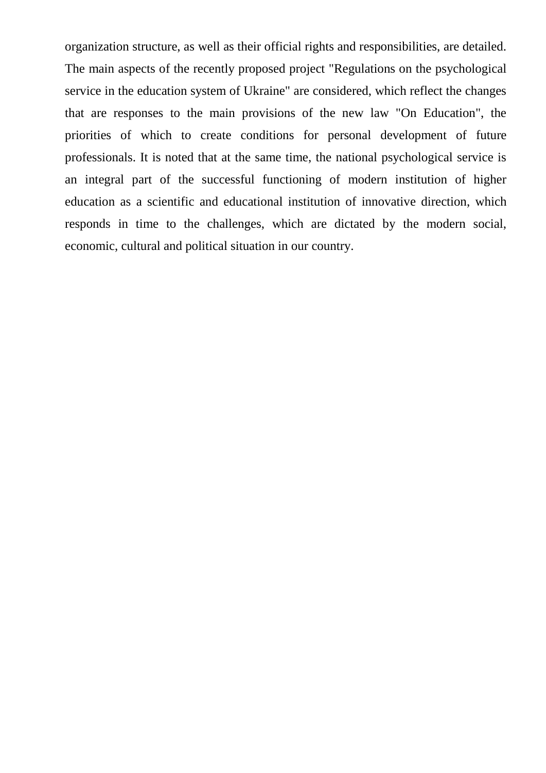organization structure, as well as their official rights and responsibilities, are detailed. The main aspects of the recently proposed project "Regulations on the psychological service in the education system of Ukraine" are considered, which reflect the changes that are responses to the main provisions of the new law "On Education", the priorities of which to create conditions for personal development of future professionals. It is noted that at the same time, the national psychological service is an integral part of the successful functioning of modern institution of higher education as a scientific and educational institution of innovative direction, which responds in time to the challenges, which are dictated by the modern social, economic, cultural and political situation in our country.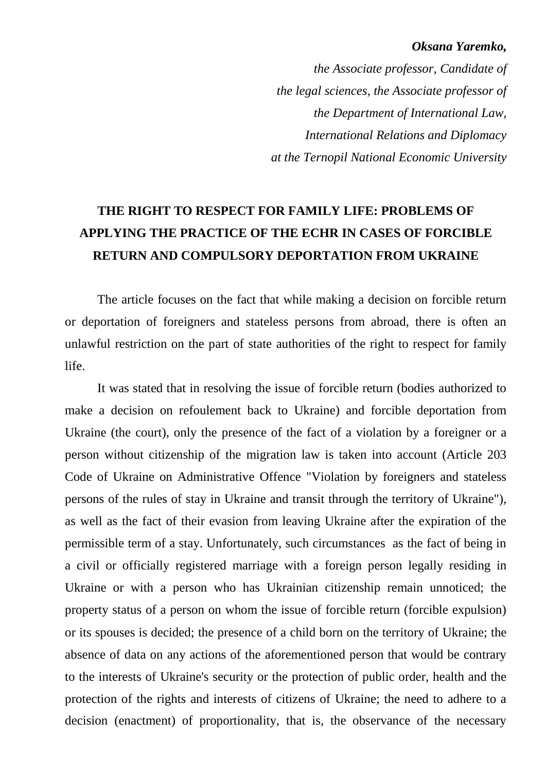#### *Oksana Yaremko,*

*the Associate professor, Candidate of the legal sciences, the Associate professor of the Department of International Law, International Relations and Diplomacy at the Ternopil National Economic University*

# **THE RIGHT TO RESPECT FOR FAMILY LIFE: PROBLEMS OF APPLYING THE PRACTICE OF THE ECHR IN CASES OF FORCIBLE RETURN AND COMPULSORY DEPORTATION FROM UKRAINE**

The article focuses on the fact that while making a decision on forcible return or deportation of foreigners and stateless persons from abroad, there is often an unlawful restriction on the part of state authorities of the right to respect for family life.

It was stated that in resolving the issue of forcible return (bodies authorized to make a decision on refoulement back to Ukraine) and forcible deportation from Ukraine (the court), only the presence of the fact of a violation by a foreigner or a person without citizenship of the migration law is taken into account (Article 203 Code of Ukraine on Administrative Offence "Violation by foreigners and stateless persons of the rules of stay in Ukraine and transit through the territory of Ukraine"), as well as the fact of their evasion from leaving Ukraine after the expiration of the permissible term of a stay. Unfortunately, such circumstances as the fact of being in a civil or officially registered marriage with a foreign person legally residing in Ukraine or with a person who has Ukrainian citizenship remain unnoticed; the property status of a person on whom the issue of forcible return (forcible expulsion) or its spouses is decided; the presence of a child born on the territory of Ukraine; the absence of data on any actions of the aforementioned person that would be contrary to the interests of Ukraine's security or the protection of public order, health and the protection of the rights and interests of citizens of Ukraine; the need to adhere to a decision (enactment) of proportionality, that is, the observance of the necessary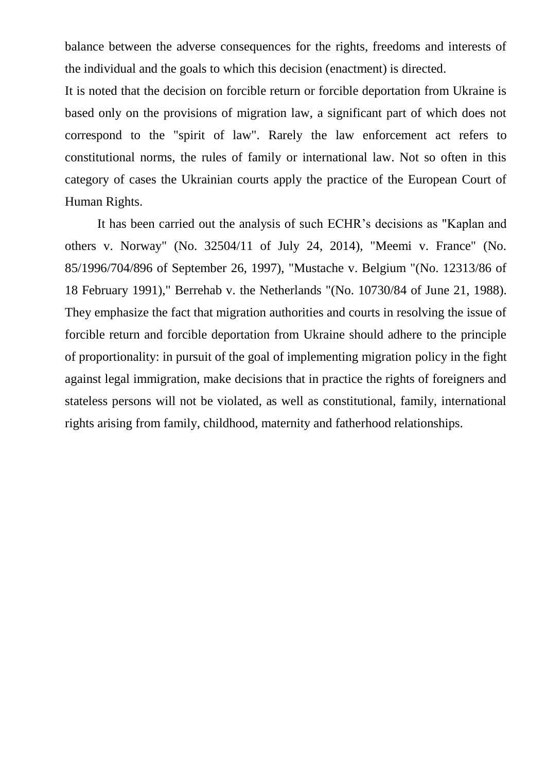balance between the adverse consequences for the rights, freedoms and interests of the individual and the goals to which this decision (enactment) is directed.

It is noted that the decision on forcible return or forcible deportation from Ukraine is based only on the provisions of migration law, a significant part of which does not correspond to the "spirit of law". Rarely the law enforcement act refers to constitutional norms, the rules of family or international law. Not so often in this category of cases the Ukrainian courts apply the practice of the European Court of Human Rights.

It has been carried out the analysis of such ECHR's decisions as "Kaplan and others v. Norway" (No. 32504/11 of July 24, 2014), "Meemi v. France" (No. 85/1996/704/896 of September 26, 1997), "Mustache v. Belgium "(No. 12313/86 of 18 February 1991)," Berrehab v. the Netherlands "(No. 10730/84 of June 21, 1988). They emphasize the fact that migration authorities and courts in resolving the issue of forcible return and forcible deportation from Ukraine should adhere to the principle of proportionality: in pursuit of the goal of implementing migration policy in the fight against legal immigration, make decisions that in practice the rights of foreigners and stateless persons will not be violated, as well as constitutional, family, international rights arising from family, childhood, maternity and fatherhood relationships.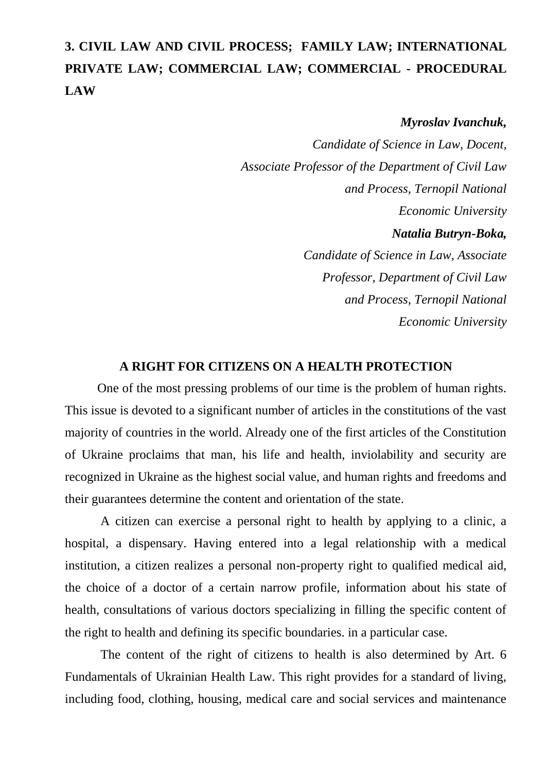# **3. CIVIL LAW AND CIVIL PROCESS; FAMILY LAW; INTERNATIONAL PRIVATE LAW; COMMERCIAL LAW; COMMERCIAL - PROCEDURAL LAW**

### *Myroslav Ivanchuk,*

*Candidate of Science in Law, Docent, Associate Professor of the Department of Civil Law and Process, Ternopil National Economic University Natalia Butryn-Boka, Candidate of Science in Law, Associate Professor, Department of Civil Law and Process, Ternopil National* 

*Economic University*

### **A RIGHT FOR CITIZENS ON A HEALTH PROTECTION**

One of the most pressing problems of our time is the problem of human rights. This issue is devoted to a significant number of articles in the constitutions of the vast majority of countries in the world. Already one of the first articles of the Constitution of Ukraine proclaims that man, his life and health, inviolability and security are recognized in Ukraine as the highest social value, and human rights and freedoms and their guarantees determine the content and orientation of the state.

A citizen can exercise a personal right to health by applying to a clinic, a hospital, a dispensary. Having entered into a legal relationship with a medical institution, a citizen realizes a personal non-property right to qualified medical aid, the choice of a doctor of a certain narrow profile, information about his state of health, consultations of various doctors specializing in filling the specific content of the right to health and defining its specific boundaries. in a particular case.

The content of the right of citizens to health is also determined by Art. 6 Fundamentals of Ukrainian Health Law. This right provides for a standard of living, including food, clothing, housing, medical care and social services and maintenance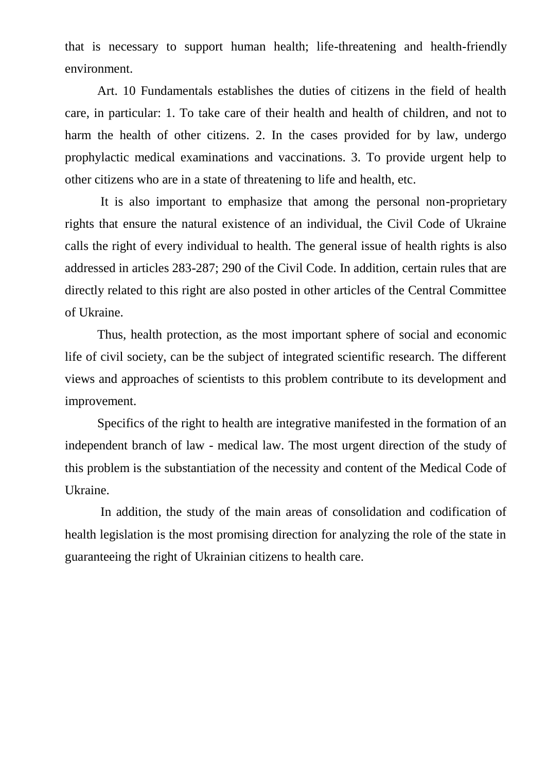that is necessary to support human health; life-threatening and health-friendly environment.

Art. 10 Fundamentals establishes the duties of citizens in the field of health care, in particular: 1. To take care of their health and health of children, and not to harm the health of other citizens. 2. In the cases provided for by law, undergo prophylactic medical examinations and vaccinations. 3. To provide urgent help to other citizens who are in a state of threatening to life and health, etc.

It is also important to emphasize that among the personal non-proprietary rights that ensure the natural existence of an individual, the Civil Code of Ukraine calls the right of every individual to health. The general issue of health rights is also addressed in articles 283-287; 290 of the Civil Code. In addition, certain rules that are directly related to this right are also posted in other articles of the Central Committee of Ukraine.

Thus, health protection, as the most important sphere of social and economic life of civil society, can be the subject of integrated scientific research. The different views and approaches of scientists to this problem contribute to its development and improvement.

Specifics of the right to health are integrative manifested in the formation of an independent branch of law - medical law. The most urgent direction of the study of this problem is the substantiation of the necessity and content of the Medical Code of Ukraine.

In addition, the study of the main areas of consolidation and codification of health legislation is the most promising direction for analyzing the role of the state in guaranteeing the right of Ukrainian citizens to health care.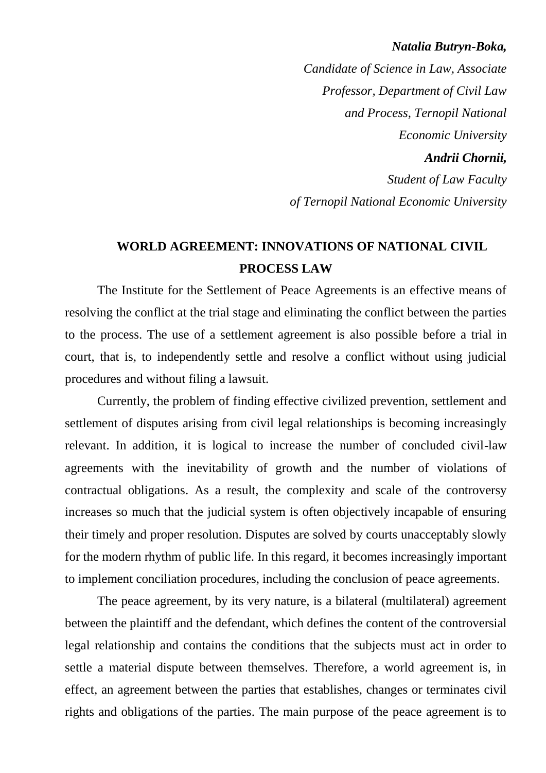#### *Natalia Butryn-Boka,*

*Candidate of Science in Law, Associate Professor, Department of Civil Law and Process, Ternopil National Economic University Andrii Chornii, Student of Law Faculty of Ternopil National Economic University*

### **WORLD AGREEMENT: INNOVATIONS OF NATIONAL CIVIL PROCESS LAW**

The Institute for the Settlement of Peace Agreements is an effective means of resolving the conflict at the trial stage and eliminating the conflict between the parties to the process. The use of a settlement agreement is also possible before a trial in court, that is, to independently settle and resolve a conflict without using judicial procedures and without filing a lawsuit.

Currently, the problem of finding effective civilized prevention, settlement and settlement of disputes arising from civil legal relationships is becoming increasingly relevant. In addition, it is logical to increase the number of concluded civil-law agreements with the inevitability of growth and the number of violations of contractual obligations. As a result, the complexity and scale of the controversy increases so much that the judicial system is often objectively incapable of ensuring their timely and proper resolution. Disputes are solved by courts unacceptably slowly for the modern rhythm of public life. In this regard, it becomes increasingly important to implement conciliation procedures, including the conclusion of peace agreements.

The peace agreement, by its very nature, is a bilateral (multilateral) agreement between the plaintiff and the defendant, which defines the content of the controversial legal relationship and contains the conditions that the subjects must act in order to settle a material dispute between themselves. Therefore, a world agreement is, in effect, an agreement between the parties that establishes, changes or terminates civil rights and obligations of the parties. The main purpose of the peace agreement is to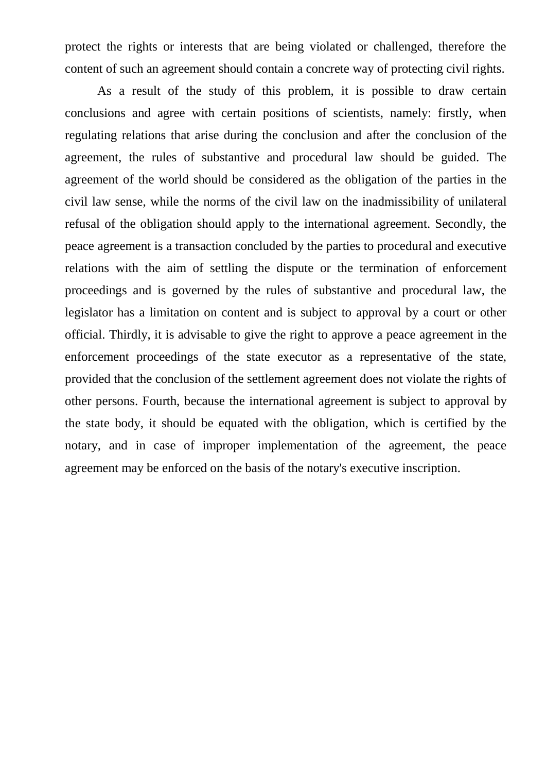protect the rights or interests that are being violated or challenged, therefore the content of such an agreement should contain a concrete way of protecting civil rights.

As a result of the study of this problem, it is possible to draw certain conclusions and agree with certain positions of scientists, namely: firstly, when regulating relations that arise during the conclusion and after the conclusion of the agreement, the rules of substantive and procedural law should be guided. The agreement of the world should be considered as the obligation of the parties in the civil law sense, while the norms of the civil law on the inadmissibility of unilateral refusal of the obligation should apply to the international agreement. Secondly, the peace agreement is a transaction concluded by the parties to procedural and executive relations with the aim of settling the dispute or the termination of enforcement proceedings and is governed by the rules of substantive and procedural law, the legislator has a limitation on content and is subject to approval by a court or other official. Thirdly, it is advisable to give the right to approve a peace agreement in the enforcement proceedings of the state executor as a representative of the state, provided that the conclusion of the settlement agreement does not violate the rights of other persons. Fourth, because the international agreement is subject to approval by the state body, it should be equated with the obligation, which is certified by the notary, and in case of improper implementation of the agreement, the peace agreement may be enforced on the basis of the notary's executive inscription.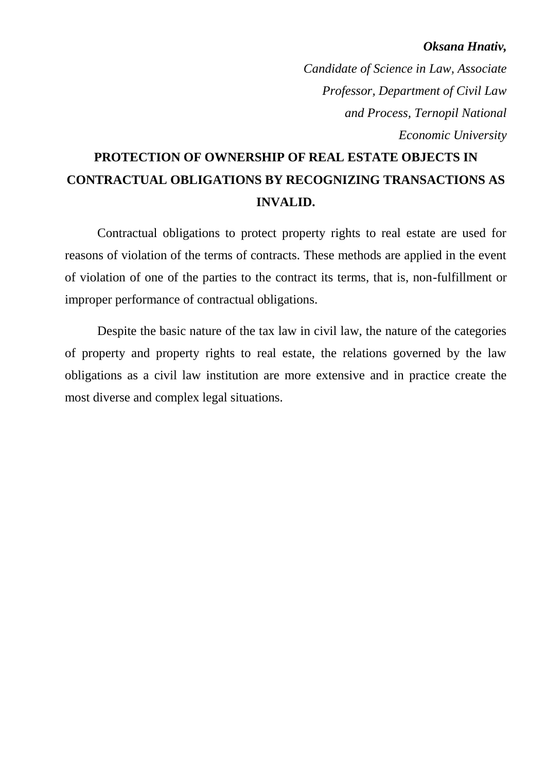#### *Oksana Hnativ,*

*Candidate of Science in Law, Associate Professor, Department of Civil Law and Process, Ternopil National Economic University*

# **PROTECTION OF OWNERSHIP OF REAL ESTATE OBJECTS IN CONTRACTUAL OBLIGATIONS BY RECOGNIZING TRANSACTIONS AS INVALID.**

Contractual obligations to protect property rights to real estate are used for reasons of violation of the terms of contracts. These methods are applied in the event of violation of one of the parties to the contract its terms, that is, non-fulfillment or improper performance of contractual obligations.

Despite the basic nature of the tax law in civil law, the nature of the categories of property and property rights to real estate, the relations governed by the law obligations as a civil law institution are more extensive and in practice create the most diverse and complex legal situations.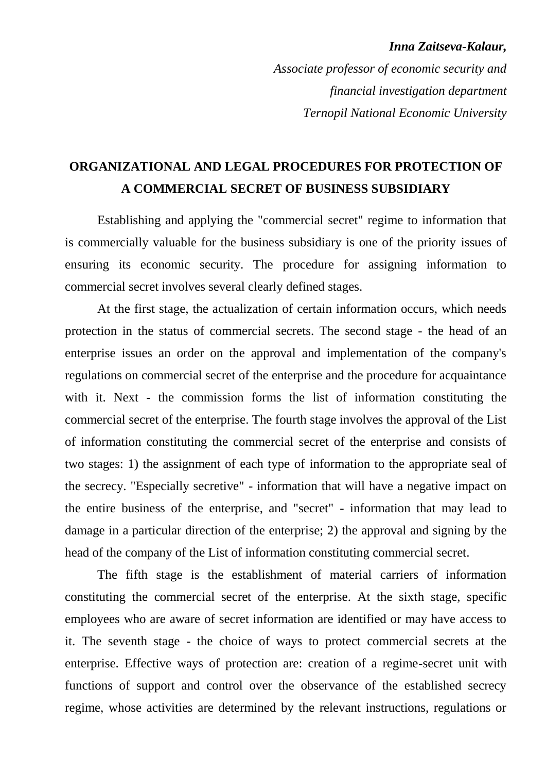#### *Inna Zaitseva-Kalaur,*

*Associate professor of economic security and financial investigation department Ternopil National Economic University*

### **ORGANIZATIONAL AND LEGAL PROCEDURES FOR PROTECTION OF A COMMERCIAL SECRET OF BUSINESS SUBSIDIARY**

Establishing and applying the "commercial secret" regime to information that is commercially valuable for the business subsidiary is one of the priority issues of ensuring its economic security. The procedure for assigning information to commercial secret involves several clearly defined stages.

At the first stage, the actualization of certain information occurs, which needs protection in the status of commercial secrets. The second stage - the head of an enterprise issues an order on the approval and implementation of the company's regulations on commercial secret of the enterprise and the procedure for acquaintance with it. Next - the commission forms the list of information constituting the commercial secret of the enterprise. The fourth stage involves the approval of the List of information constituting the commercial secret of the enterprise and consists of two stages: 1) the assignment of each type of information to the appropriate seal of the secrecy. "Especially secretive" - information that will have a negative impact on the entire business of the enterprise, and "secret" - information that may lead to damage in a particular direction of the enterprise; 2) the approval and signing by the head of the company of the List of information constituting commercial secret.

The fifth stage is the establishment of material carriers of information constituting the commercial secret of the enterprise. At the sixth stage, specific employees who are aware of secret information are identified or may have access to it. The seventh stage - the choice of ways to protect commercial secrets at the enterprise. Effective ways of protection are: creation of a regime-secret unit with functions of support and control over the observance of the established secrecy regime, whose activities are determined by the relevant instructions, regulations or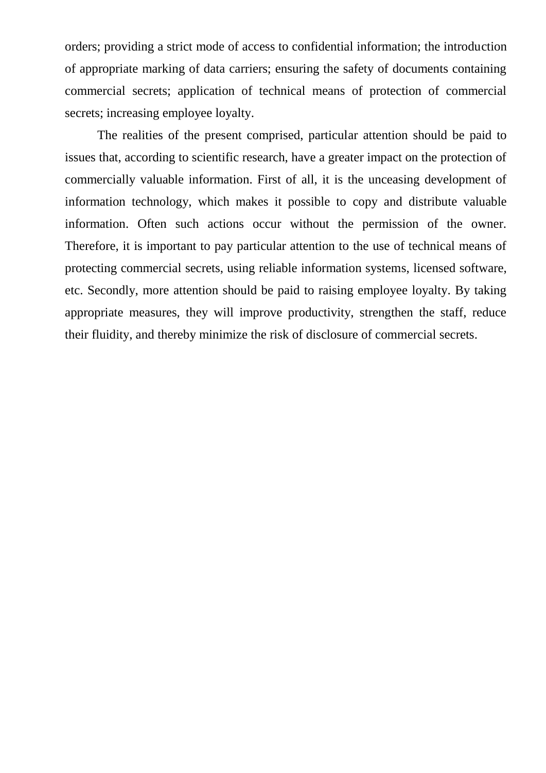orders; providing a strict mode of access to confidential information; the introduction of appropriate marking of data carriers; ensuring the safety of documents containing commercial secrets; application of technical means of protection of commercial secrets; increasing employee loyalty.

The realities of the present comprised, particular attention should be paid to issues that, according to scientific research, have a greater impact on the protection of commercially valuable information. First of all, it is the unceasing development of information technology, which makes it possible to copy and distribute valuable information. Often such actions occur without the permission of the owner. Therefore, it is important to pay particular attention to the use of technical means of protecting commercial secrets, using reliable information systems, licensed software, etc. Secondly, more attention should be paid to raising employee loyalty. By taking appropriate measures, they will improve productivity, strengthen the staff, reduce their fluidity, and thereby minimize the risk of disclosure of commercial secrets.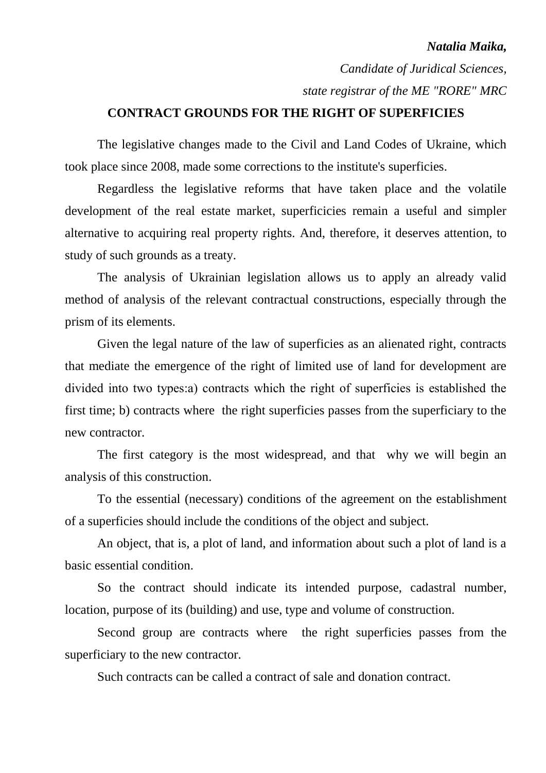#### *Natalia Maika,*

*Candidate of Juridical Sciences, state registrar of the ME "RORE" MRC*

### **CONTRACT GROUNDS FOR THE RIGHT OF SUPERFICIES**

The legislative changes made to the Civil and Land Codes of Ukraine, which took place since 2008, made some corrections to the institute's superficies.

Regardless the legislative reforms that have taken place and the volatile development of the real estate market, superficicies remain a useful and simpler alternative to acquiring real property rights. And, therefore, it deserves attention, to study of such grounds as a treaty.

The analysis of Ukrainian legislation allows us to apply an already valid method of analysis of the relevant contractual constructions, especially through the prism of its elements.

Given the legal nature of the law of superficies as an alienated right, contracts that mediate the emergence of the right of limited use of land for development are divided into two types:а) contracts which the right of superficies is established the first time; b) contracts where the right superficies passes from the superficiary to the new contractor.

The first category is the most widespread, and that why we will begin an analysis of this construction.

To the essential (necessary) conditions of the agreement on the establishment of a superficies should include the conditions of the object and subject.

An object, that is, a plot of land, and information about such a plot of land is a basic essential condition.

So the contract should indicate its intended purpose, cadastral number, location, purpose of its (building) and use, type and volume of construction.

Second group are contracts where the right superficies passes from the superficiary to the new contractor.

Such contracts can be called a contract of sale and donation contract.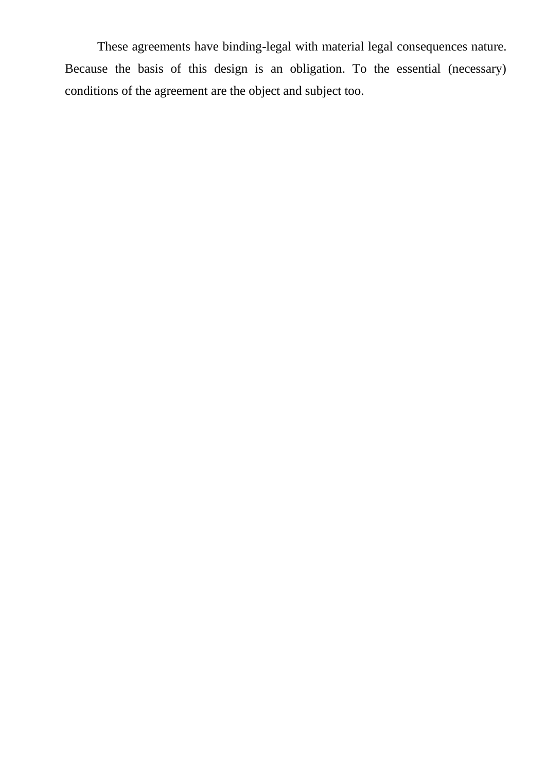These agreements have binding-legal with material legal consequences nature. Because the basis of this design is an obligation. To the essential (necessary) conditions of the agreement are the object and subject too.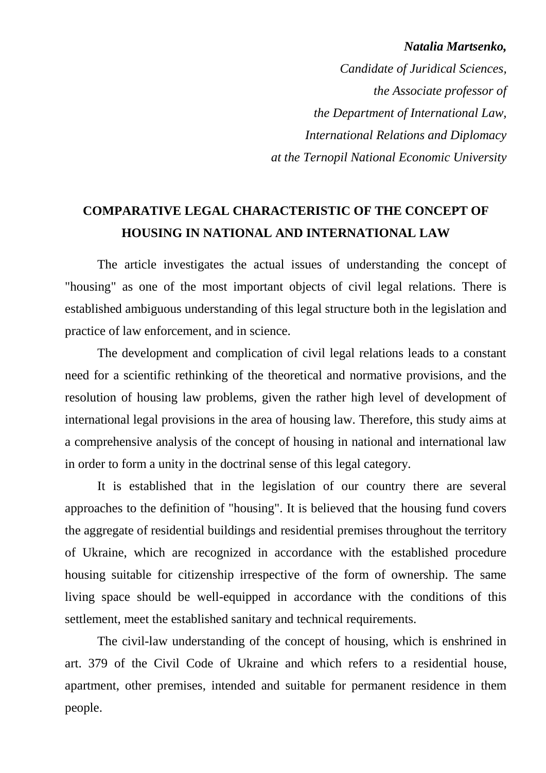#### *Natalia Martsenko,*

*Candidate of Juridical Sciences, the Associate professor of the Department of International Law, International Relations and Diplomacy at the Ternopil National Economic University*

### **COMPARATIVE LEGAL CHARACTERISTIC OF THE CONCEPT OF HOUSING IN NATIONAL AND INTERNATIONAL LAW**

The article investigates the actual issues of understanding the concept of "housing" as one of the most important objects of civil legal relations. There is established ambiguous understanding of this legal structure both in the legislation and practice of law enforcement, and in science.

The development and complication of civil legal relations leads to a constant need for a scientific rethinking of the theoretical and normative provisions, and the resolution of housing law problems, given the rather high level of development of international legal provisions in the area of housing law. Therefore, this study aims at a comprehensive analysis of the concept of housing in national and international law in order to form a unity in the doctrinal sense of this legal category.

It is established that in the legislation of our country there are several approaches to the definition of "housing". It is believed that the housing fund covers the aggregate of residential buildings and residential premises throughout the territory of Ukraine, which are recognized in accordance with the established procedure housing suitable for citizenship irrespective of the form of ownership. The same living space should be well-equipped in accordance with the conditions of this settlement, meet the established sanitary and technical requirements.

The civil-law understanding of the concept of housing, which is enshrined in art. 379 of the Civil Code of Ukraine and which refers to a residential house, apartment, other premises, intended and suitable for permanent residence in them people.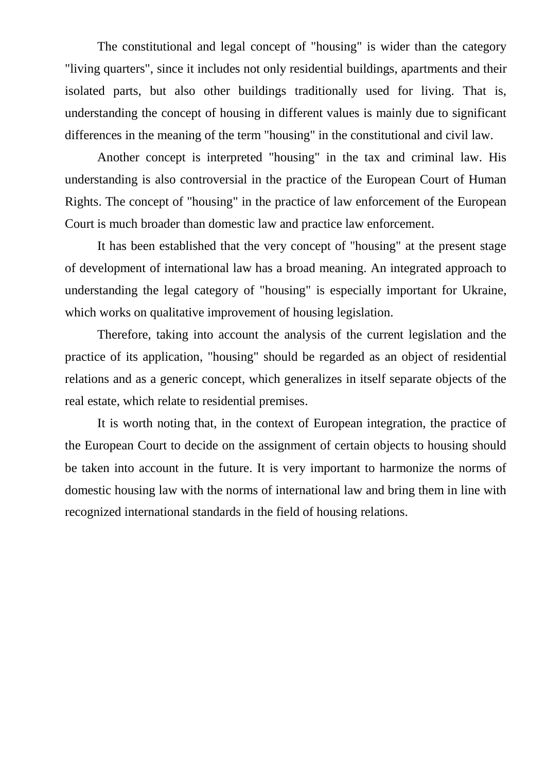The constitutional and legal concept of "housing" is wider than the category "living quarters", since it includes not only residential buildings, apartments and their isolated parts, but also other buildings traditionally used for living. That is, understanding the concept of housing in different values is mainly due to significant differences in the meaning of the term "housing" in the constitutional and civil law.

Another concept is interpreted "housing" in the tax and criminal law. His understanding is also controversial in the practice of the European Court of Human Rights. The concept of "housing" in the practice of law enforcement of the European Court is much broader than domestic law and practice law enforcement.

It has been established that the very concept of "housing" at the present stage of development of international law has a broad meaning. An integrated approach to understanding the legal category of "housing" is especially important for Ukraine, which works on qualitative improvement of housing legislation.

Therefore, taking into account the analysis of the current legislation and the practice of its application, "housing" should be regarded as an object of residential relations and as a generic concept, which generalizes in itself separate objects of the real estate, which relate to residential premises.

It is worth noting that, in the context of European integration, the practice of the European Court to decide on the assignment of certain objects to housing should be taken into account in the future. It is very important to harmonize the norms of domestic housing law with the norms of international law and bring them in line with recognized international standards in the field of housing relations.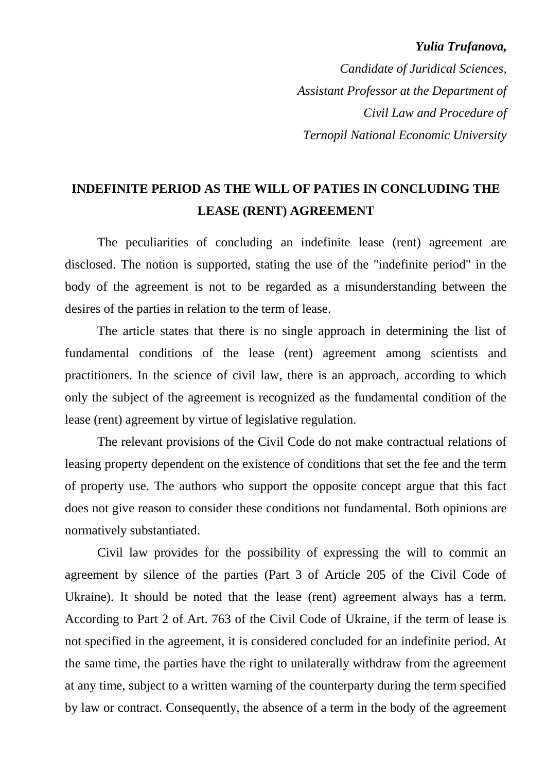#### *Yulia Trufanova,*

*Candidate of Juridical Sciences, Assistant Professor at the Department of Civil Law and Procedure of Ternopil National Economic University* 

### **INDEFINITE PERIOD AS THE WILL OF PATIES IN CONCLUDING THE LEASE (RENT) AGREEMENT**

The peculiarities of concluding an indefinite lease (rent) agreement are disclosed. The notion is supported, stating the use of the "indefinite period" in the body of the agreement is not to be regarded as a misunderstanding between the desires of the parties in relation to the term of lease.

The article states that there is no single approach in determining the list of fundamental conditions of the lease (rent) agreement among scientists and practitioners. In the science of civil law, there is an approach, according to which only the subject of the agreement is recognized as the fundamental condition of the lease (rent) agreement by virtue of legislative regulation.

The relevant provisions of the Civil Code do not make contractual relations of leasing property dependent on the existence of conditions that set the fee and the term of property use. The authors who support the opposite concept argue that this fact does not give reason to consider these conditions not fundamental. Both opinions are normatively substantiated.

Civil law provides for the possibility of expressing the will to commit an agreement by silence of the parties (Part 3 of Article 205 of the Civil Code of Ukraine). It should be noted that the lease (rent) agreement always has a term. According to Part 2 of Art. 763 of the Civil Code of Ukraine, if the term of lease is not specified in the agreement, it is considered concluded for an indefinite period. At the same time, the parties have the right to unilaterally withdraw from the agreement at any time, subject to a written warning of the counterparty during the term specified by law or contract. Consequently, the absence of a term in the body of the agreement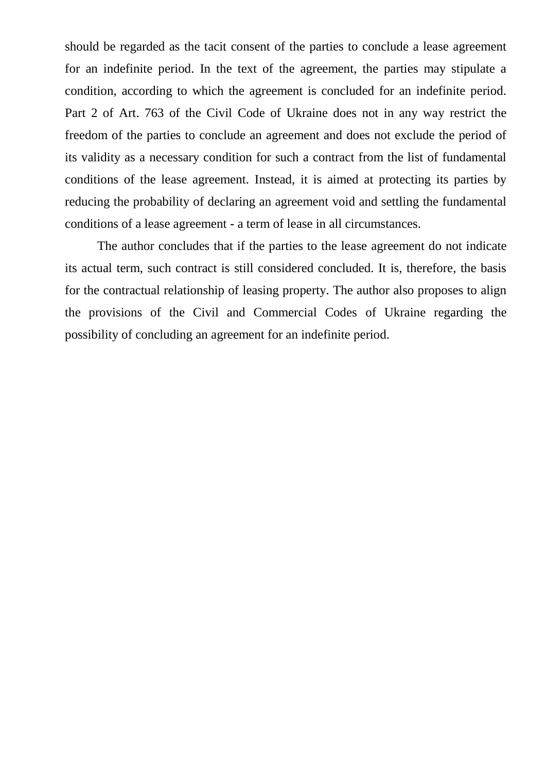should be regarded as the tacit consent of the parties to conclude a lease agreement for an indefinite period. In the text of the agreement, the parties may stipulate a condition, according to which the agreement is concluded for an indefinite period. Part 2 of Art. 763 of the Civil Code of Ukraine does not in any way restrict the freedom of the parties to conclude an agreement and does not exclude the period of its validity as a necessary condition for such a contract from the list of fundamental conditions of the lease agreement. Instead, it is aimed at protecting its parties by reducing the probability of declaring an agreement void and settling the fundamental conditions of a lease agreement - a term of lease in all circumstances.

The author concludes that if the parties to the lease agreement do not indicate its actual term, such contract is still considered concluded. It is, therefore, the basis for the contractual relationship of leasing property. The author also proposes to align the provisions of the Civil and Commercial Codes of Ukraine regarding the possibility of concluding an agreement for an indefinite period.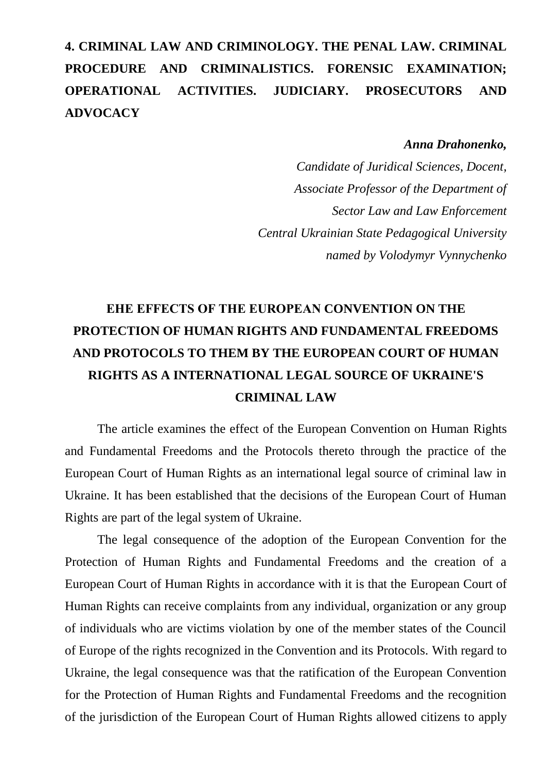# **4. CRIMINAL LAW AND CRIMINOLOGY. THE PENAL LAW. CRIMINAL PROCEDURE AND CRIMINALISTICS. FORENSIC EXAMINATION; OPERATIONAL ACTIVITIES. JUDICIARY. PROSECUTORS AND ADVOCACY**

#### *Anna Drahonenko,*

*Candidate of Juridical Sciences, Docent, Associate Professor of the Department of Sector Law and Law Enforcement Central Ukrainian State Pedagogical University named by Volodymyr Vynnychenko*

# **ЕHE EFFECTS OF THE EUROPEAN CONVENTION ON THE PROTECTION OF HUMAN RIGHTS AND FUNDAMENTAL FREEDOMS AND PROTOCOLS TO THEM BY THE EUROPEAN COURT OF HUMAN RIGHTS AS A INTERNATIONAL LEGAL SOURCE OF UKRAINE'S CRIMINAL LAW**

The article examines the effect of the European Convention on Human Rights and Fundamental Freedoms and the Protocols thereto through the practice of the European Court of Human Rights as an international legal source of criminal law in Ukraine. It has been established that the decisions of the European Court of Human Rights are part of the legal system of Ukraine.

The legal consequence of the adoption of the European Convention for the Protection of Human Rights and Fundamental Freedoms and the creation of a European Court of Human Rights in accordance with it is that the European Court of Human Rights can receive complaints from any individual, organization or any group of individuals who are victims violation by one of the member states of the Council of Europe of the rights recognized in the Convention and its Protocols. With regard to Ukraine, the legal consequence was that the ratification of the European Convention for the Protection of Human Rights and Fundamental Freedoms and the recognition of the jurisdiction of the European Court of Human Rights allowed citizens to apply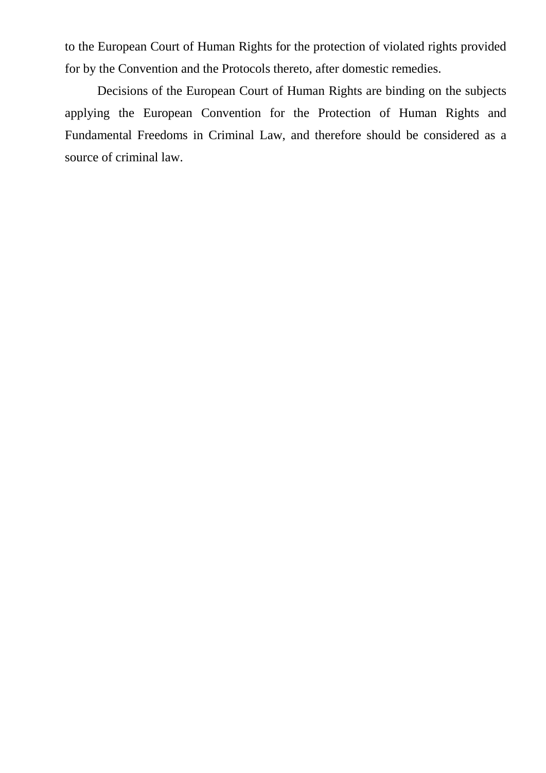to the European Court of Human Rights for the protection of violated rights provided for by the Convention and the Protocols thereto, after domestic remedies.

Decisions of the European Court of Human Rights are binding on the subjects applying the European Convention for the Protection of Human Rights and Fundamental Freedoms in Criminal Law, and therefore should be considered as a source of criminal law.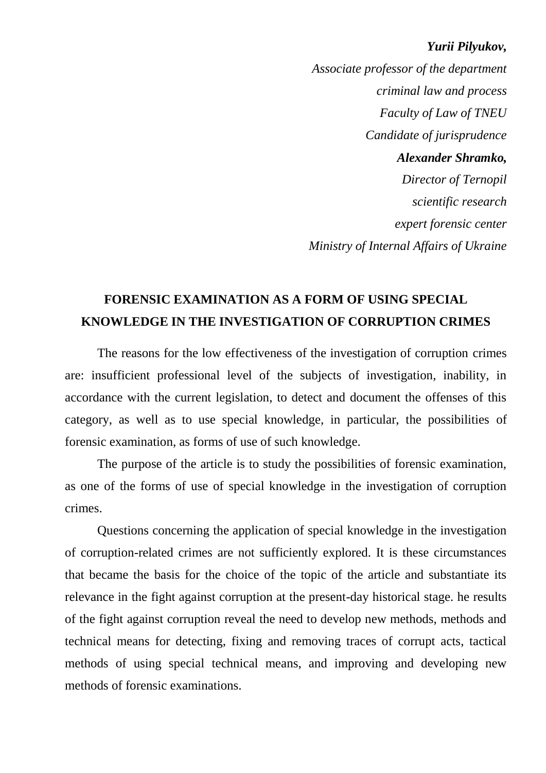#### *Yurii Pilyukov,*

*Associate professor of the department criminal law and process Faculty of Law of TNEU Candidate of jurisprudence Alexander Shramko, Director of Ternopil scientific research expert forensic center Ministry of Internal Affairs of Ukraine* 

### **FORENSIC EXAMINATION AS A FORM OF USING SPECIAL KNOWLEDGE IN THE INVESTIGATION OF CORRUPTION CRIMES**

The reasons for the low effectiveness of the investigation of corruption crimes are: insufficient professional level of the subjects of investigation, inability, in accordance with the current legislation, to detect and document the offenses of this category, as well as to use special knowledge, in particular, the possibilities of forensic examination, as forms of use of such knowledge.

The purpose of the article is to study the possibilities of forensic examination, as one of the forms of use of special knowledge in the investigation of corruption crimes.

Questions concerning the application of special knowledge in the investigation of corruption-related crimes are not sufficiently explored. It is these circumstances that became the basis for the choice of the topic of the article and substantiate its relevance in the fight against corruption at the present-day historical stage. he results of the fight against corruption reveal the need to develop new methods, methods and technical means for detecting, fixing and removing traces of corrupt acts, tactical methods of using special technical means, and improving and developing new methods of forensic examinations.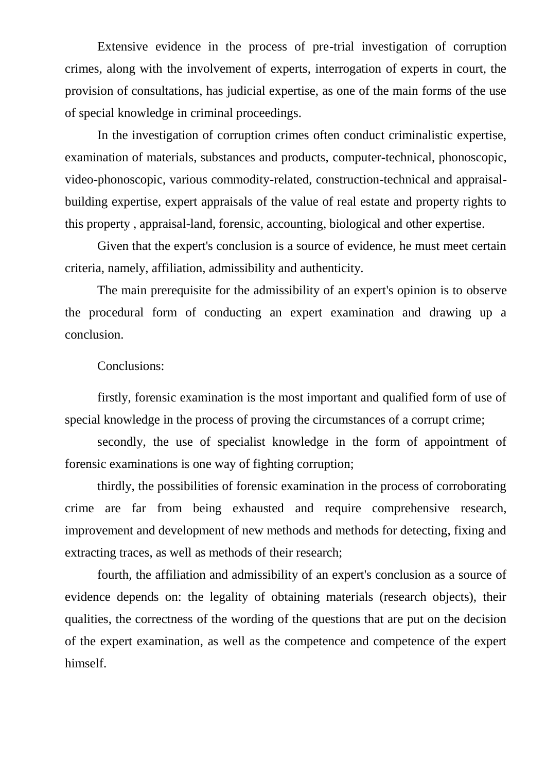Extensive evidence in the process of pre-trial investigation of corruption crimes, along with the involvement of experts, interrogation of experts in court, the provision of consultations, has judicial expertise, as one of the main forms of the use of special knowledge in criminal proceedings.

In the investigation of corruption crimes often conduct criminalistic expertise, examination of materials, substances and products, computer-technical, phonoscopic, video-phonoscopic, various commodity-related, construction-technical and appraisalbuilding expertise, expert appraisals of the value of real estate and property rights to this property , appraisal-land, forensic, accounting, biological and other expertise.

Given that the expert's conclusion is a source of evidence, he must meet certain criteria, namely, affiliation, admissibility and authenticity.

The main prerequisite for the admissibility of an expert's opinion is to observe the procedural form of conducting an expert examination and drawing up a conclusion.

#### Conclusions:

firstly, forensic examination is the most important and qualified form of use of special knowledge in the process of proving the circumstances of a corrupt crime;

secondly, the use of specialist knowledge in the form of appointment of forensic examinations is one way of fighting corruption;

thirdly, the possibilities of forensic examination in the process of corroborating crime are far from being exhausted and require comprehensive research, improvement and development of new methods and methods for detecting, fixing and extracting traces, as well as methods of their research;

fourth, the affiliation and admissibility of an expert's conclusion as a source of evidence depends on: the legality of obtaining materials (research objects), their qualities, the correctness of the wording of the questions that are put on the decision of the expert examination, as well as the competence and competence of the expert himself.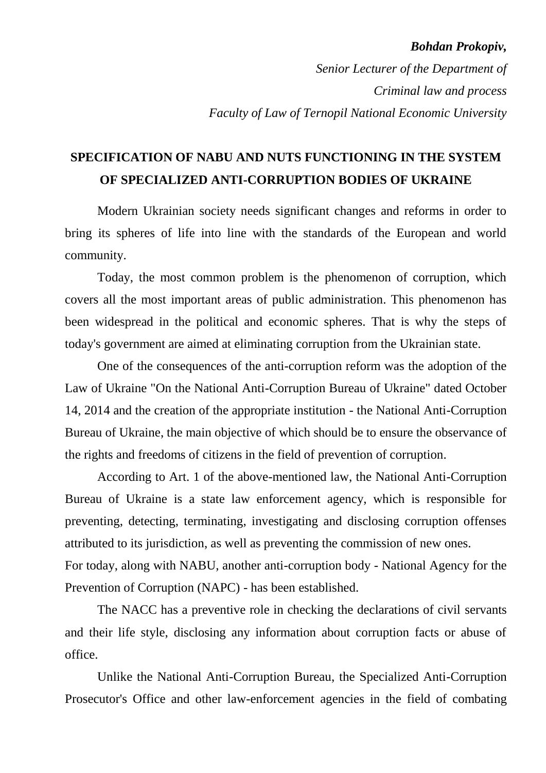#### *Bohdan Prokopiv,*

*Senior Lecturer of the Department of Criminal law and process Faculty of Law of Ternopil National Economic University*

### **SPECIFICATION OF NABU AND NUTS FUNCTIONING IN THE SYSTEM OF SPECIALIZED ANTI-CORRUPTION BODIES OF UKRAINE**

Modern Ukrainian society needs significant changes and reforms in order to bring its spheres of life into line with the standards of the European and world community.

Today, the most common problem is the phenomenon of corruption, which covers all the most important areas of public administration. This phenomenon has been widespread in the political and economic spheres. That is why the steps of today's government are aimed at eliminating corruption from the Ukrainian state.

One of the consequences of the anti-corruption reform was the adoption of the Law of Ukraine "On the National Anti-Corruption Bureau of Ukraine" dated October 14, 2014 and the creation of the appropriate institution - the National Anti-Corruption Bureau of Ukraine, the main objective of which should be to ensure the observance of the rights and freedoms of citizens in the field of prevention of corruption.

According to Art. 1 of the above-mentioned law, the National Anti-Corruption Bureau of Ukraine is a state law enforcement agency, which is responsible for preventing, detecting, terminating, investigating and disclosing corruption offenses attributed to its jurisdiction, as well as preventing the commission of new ones. For today, along with NABU, another anti-corruption body - National Agency for the

Prevention of Corruption (NAPC) - has been established.

The NACC has a preventive role in checking the declarations of civil servants and their life style, disclosing any information about corruption facts or abuse of office.

Unlike the National Anti-Corruption Bureau, the Specialized Anti-Corruption Prosecutor's Office and other law-enforcement agencies in the field of combating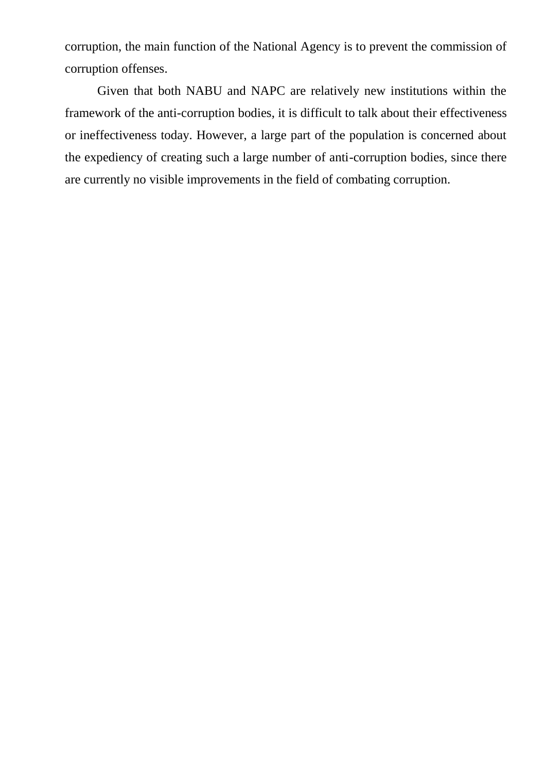corruption, the main function of the National Agency is to prevent the commission of corruption offenses.

Given that both NABU and NAPC are relatively new institutions within the framework of the anti-corruption bodies, it is difficult to talk about their effectiveness or ineffectiveness today. However, a large part of the population is concerned about the expediency of creating such a large number of anti-corruption bodies, since there are currently no visible improvements in the field of combating corruption.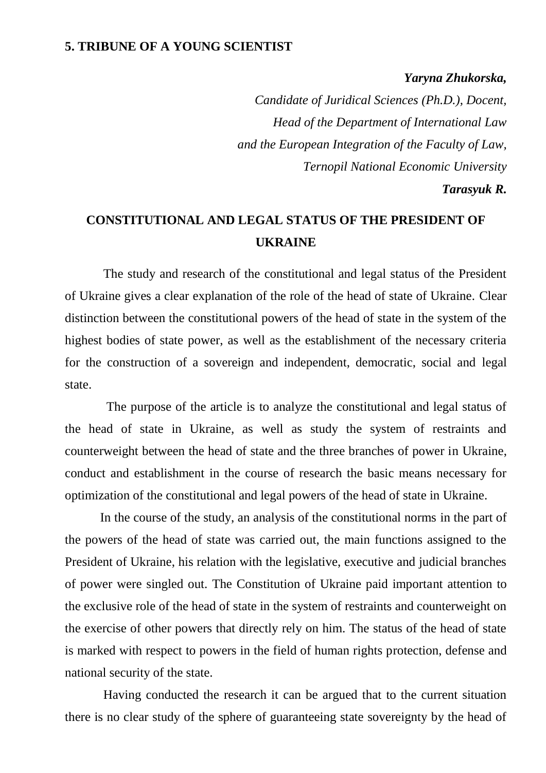### **5. TRIBUNE OF A YOUNG SCIENTIST**

#### *Yaryna Zhukorska,*

*Candidate of Juridical Sciences (Ph.D.), Docent, Head of the Department of International Law and the European Integration of the Faculty of Law, Ternopil National Economic University*

#### *Tarasyuk R.*

### **CONSTITUTIONAL AND LEGAL STATUS OF THE PRESIDENT OF UKRAINE**

 The study and research of the constitutional and legal status of the President of Ukraine gives a clear explanation of the role of the head of state of Ukraine. Clear distinction between the constitutional powers of the head of state in the system of the highest bodies of state power, as well as the establishment of the necessary criteria for the construction of a sovereign and independent, democratic, social and legal state.

 The purpose of the article is to analyze the constitutional and legal status of the head of state in Ukraine, as well as study the system of restraints and counterweight between the head of state and the three branches of power in Ukraine, conduct and establishment in the course of research the basic means necessary for optimization of the constitutional and legal powers of the head of state in Ukraine.

 In the course of the study, an analysis of the constitutional norms in the part of the powers of the head of state was carried out, the main functions assigned to the President of Ukraine, his relation with the legislative, executive and judicial branches of power were singled out. The Constitution of Ukraine paid important attention to the exclusive role of the head of state in the system of restraints and counterweight on the exercise of other powers that directly rely on him. The status of the head of state is marked with respect to powers in the field of human rights protection, defense and national security of the state.

 Having conducted the research it can be argued that to the current situation there is no clear study of the sphere of guaranteeing state sovereignty by the head of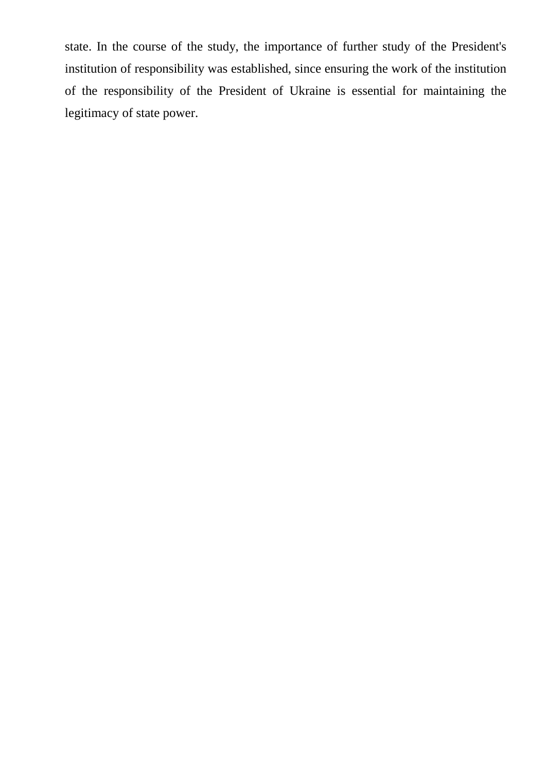state. In the course of the study, the importance of further study of the President's institution of responsibility was established, since ensuring the work of the institution of the responsibility of the President of Ukraine is essential for maintaining the legitimacy of state power.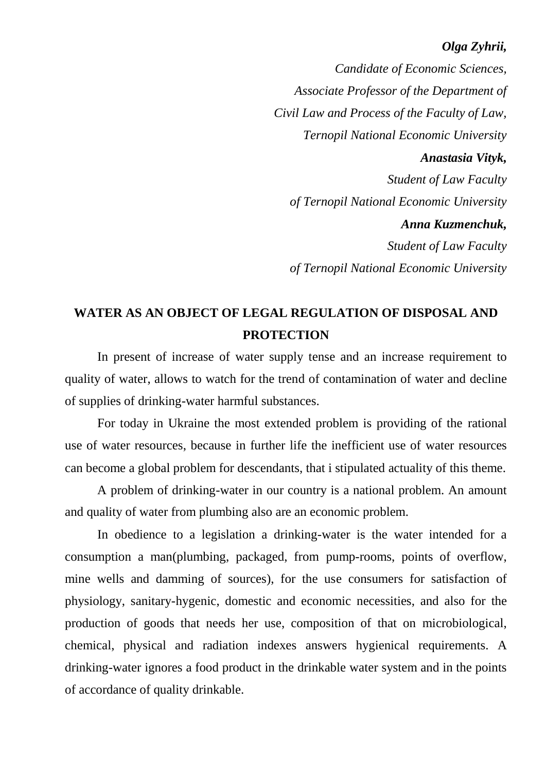### *Olga Zyhrii,*

*Candidate of Economic Sciences, Associate Professor of the Department of Civil Law and Process of the Faculty of Law, Ternopil National Economic University Anastasia Vityk, Student of Law Faculty of Ternopil National Economic University Anna Kuzmenchuk, Student of Law Faculty of Ternopil National Economic University*

### **WATER AS AN OBJECT OF LEGAL REGULATION OF DISPOSAL AND PROTECTION**

In present of increase of water supply tense and an increase requirement to quality of water, allows to watch for the trend of contamination of water and decline of supplies of drinking-water harmful substances.

For today in Ukraine the most extended problem is providing of the rational use of water resources, because in further life the inefficient use of water resources can become a global problem for descendants, that i stipulated actuality of this theme.

A problem of drinking-water in our country is a national problem. An amount and quality of water from plumbing also are an economic problem.

In obedience to a legislation a drinking-water is the water intended for a consumption a man(plumbing, packaged, from pump-rooms, points of overflow, mine wells and damming of sources), for the use consumers for satisfaction of physiology, sanitary-hygenic, domestic and economic necessities, and also for the production of goods that needs her use, composition of that on microbiological, chemical, physical and radiation indexes answers hygienical requirements. A drinking-water ignores a food product in the drinkable water system and in the points of accordance of quality drinkable.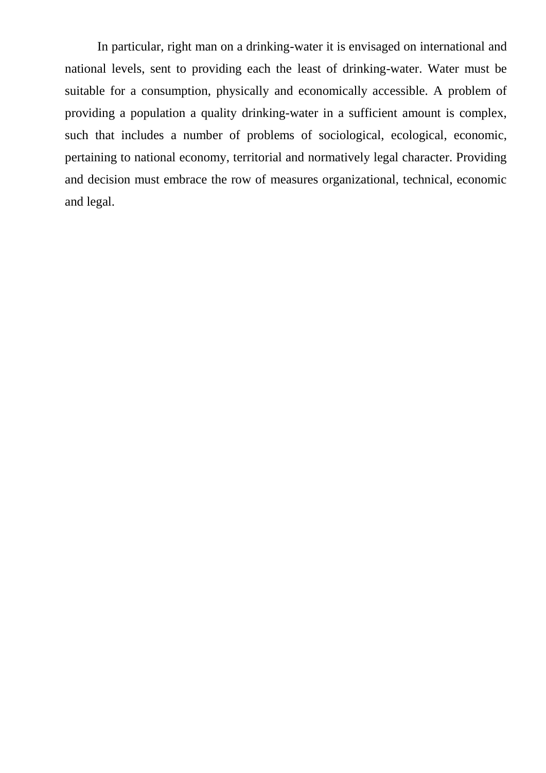In particular, right man on a drinking-water it is envisaged on international and national levels, sent to providing each the least of drinking-water. Water must be suitable for a consumption, physically and economically accessible. A problem of providing a population a quality drinking-water in a sufficient amount is complex, such that includes a number of problems of sociological, ecological, economic, pertaining to national economy, territorial and normatively legal character. Providing and decision must embrace the row of measures organizational, technical, economic and legal.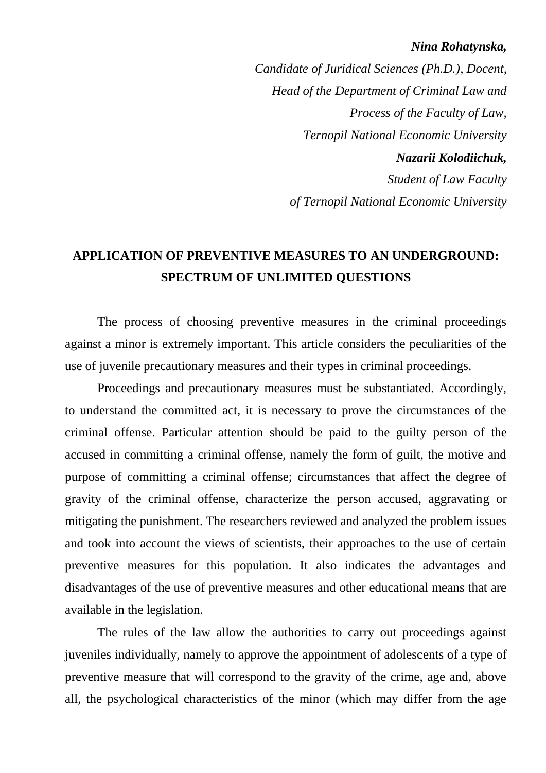#### *Nina Rohatynska,*

*Candidate of Juridical Sciences (Ph.D.), Docent, Head of the Department of Criminal Law and Process of the Faculty of Law, Ternopil National Economic University Nazarii Kolodiichuk, Student of Law Faculty of Ternopil National Economic University*

### **APPLICATION OF PREVENTIVE MEASURES TO AN UNDERGROUND: SPECTRUM OF UNLIMITED QUESTIONS**

The process of choosing preventive measures in the criminal proceedings against a minor is extremely important. This article considers the peculiarities of the use of juvenile precautionary measures and their types in criminal proceedings.

Proceedings and precautionary measures must be substantiated. Accordingly, to understand the committed act, it is necessary to prove the circumstances of the criminal offense. Particular attention should be paid to the guilty person of the accused in committing a criminal offense, namely the form of guilt, the motive and purpose of committing a criminal offense; circumstances that affect the degree of gravity of the criminal offense, characterize the person accused, aggravating or mitigating the punishment. The researchers reviewed and analyzed the problem issues and took into account the views of scientists, their approaches to the use of certain preventive measures for this population. It also indicates the advantages and disadvantages of the use of preventive measures and other educational means that are available in the legislation.

The rules of the law allow the authorities to carry out proceedings against juveniles individually, namely to approve the appointment of adolescents of a type of preventive measure that will correspond to the gravity of the crime, age and, above all, the psychological characteristics of the minor (which may differ from the age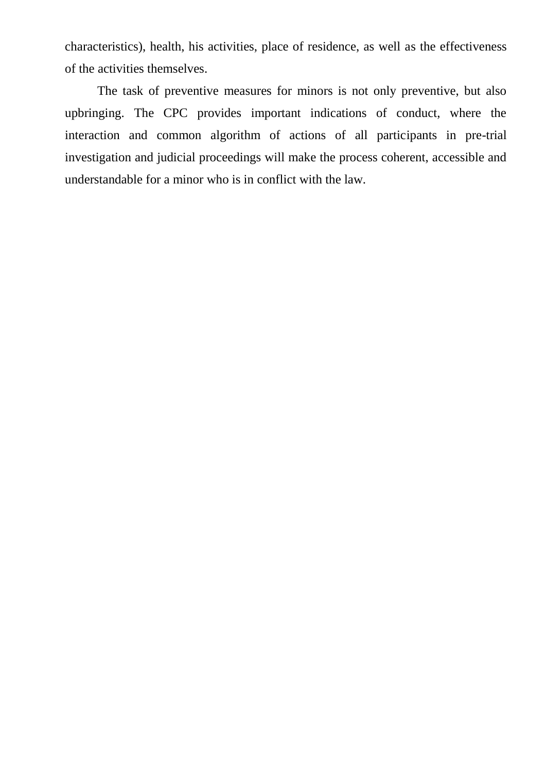characteristics), health, his activities, place of residence, as well as the effectiveness of the activities themselves.

The task of preventive measures for minors is not only preventive, but also upbringing. The CPC provides important indications of conduct, where the interaction and common algorithm of actions of all participants in pre-trial investigation and judicial proceedings will make the process coherent, accessible and understandable for a minor who is in conflict with the law.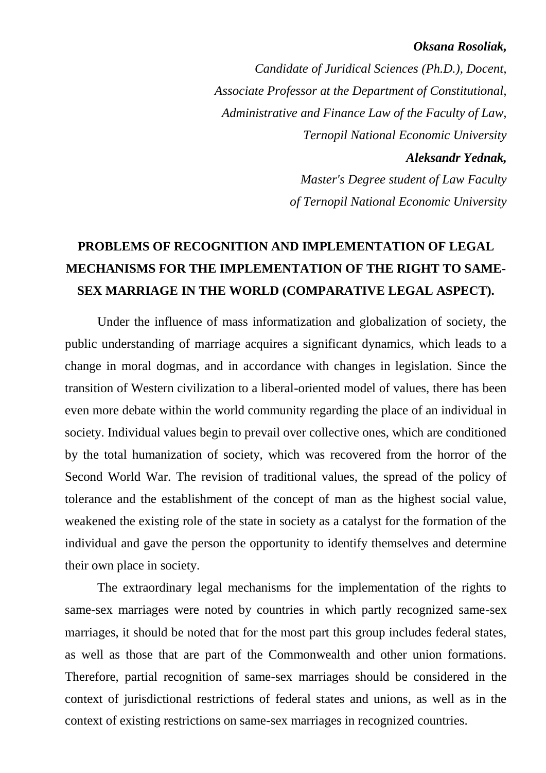#### *Oksana Rosoliak,*

*Candidate of Juridical Sciences (Ph.D.), Docent, Associate Professor at the Department of Constitutional, Administrative and Finance Law of the Faculty of Law, Ternopil National Economic University Aleksandr Yednak, Master's Degree student of Law Faculty of Ternopil National Economic University*

# **PROBLEMS OF RECOGNITION AND IMPLEMENTATION OF LEGAL MECHANISMS FOR THE IMPLEMENTATION OF THE RIGHT TO SAME-SEX MARRIAGE IN THE WORLD (COMPARATIVE LEGAL ASPECT).**

Under the influence of mass informatization and globalization of society, the public understanding of marriage acquires a significant dynamics, which leads to a change in moral dogmas, and in accordance with changes in legislation. Since the transition of Western civilization to a liberal-oriented model of values, there has been even more debate within the world community regarding the place of an individual in society. Individual values begin to prevail over collective ones, which are conditioned by the total humanization of society, which was recovered from the horror of the Second World War. The revision of traditional values, the spread of the policy of tolerance and the establishment of the concept of man as the highest social value, weakened the existing role of the state in society as a catalyst for the formation of the individual and gave the person the opportunity to identify themselves and determine their own place in society.

The extraordinary legal mechanisms for the implementation of the rights to same-sex marriages were noted by countries in which partly recognized same-sex marriages, it should be noted that for the most part this group includes federal states, as well as those that are part of the Commonwealth and other union formations. Therefore, partial recognition of same-sex marriages should be considered in the context of jurisdictional restrictions of federal states and unions, as well as in the context of existing restrictions on same-sex marriages in recognized countries.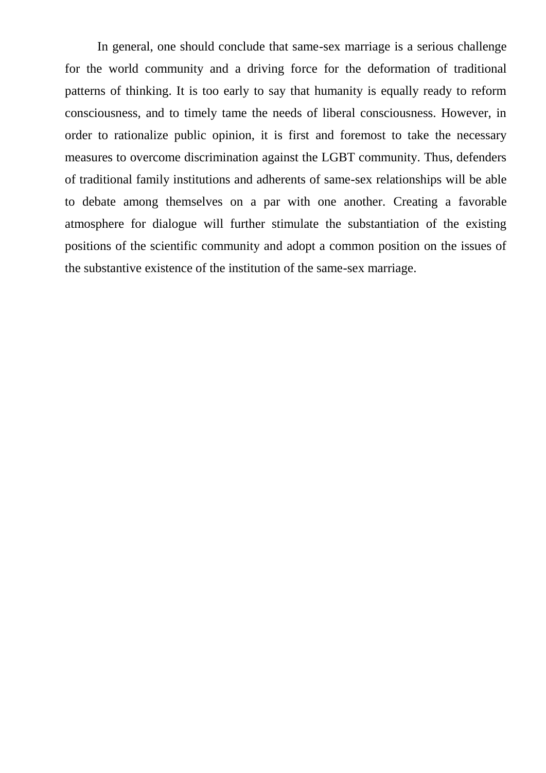In general, one should conclude that same-sex marriage is a serious challenge for the world community and a driving force for the deformation of traditional patterns of thinking. It is too early to say that humanity is equally ready to reform consciousness, and to timely tame the needs of liberal consciousness. However, in order to rationalize public opinion, it is first and foremost to take the necessary measures to overcome discrimination against the LGBT community. Thus, defenders of traditional family institutions and adherents of same-sex relationships will be able to debate among themselves on a par with one another. Creating a favorable atmosphere for dialogue will further stimulate the substantiation of the existing positions of the scientific community and adopt a common position on the issues of the substantive existence of the institution of the same-sex marriage.